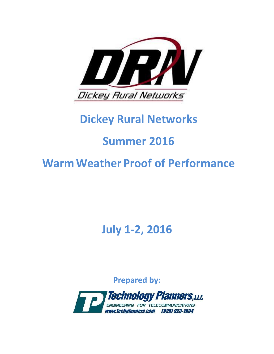

# **Dickey Rural Networks**

# **Summer 2016**

# **Warm Weather Proof of Performance**

**July 1-2, 2016** 

**Prepared by:** 

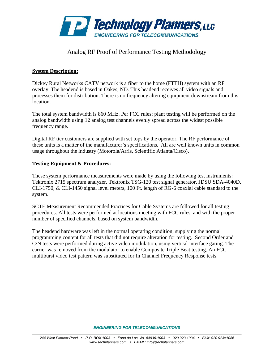

#### Analog RF Proof of Performance Testing Methodology

#### **System Description:**

Dickey Rural Networks CATV network is a fiber to the home (FTTH) system with an RF overlay. The headend is based in Oakes, ND. This headend receives all video signals and processes them for distribution. There is no frequency altering equipment downstream from this location.

The total system bandwidth is 860 MHz. Per FCC rules; plant testing will be performed on the analog bandwidth using 12 analog test channels evenly spread across the widest possible frequency range.

Digital RF tier customers are supplied with set tops by the operator. The RF performance of these units is a matter of the manufacturer's specifications. All are well known units in common usage throughout the industry (Motorola/Arris, Scientific Atlanta/Cisco).

#### **Testing Equipment & Procedures:**

These system performance measurements were made by using the following test instruments: Tektronix 2715 spectrum analyzer, Tektronix TSG-120 test signal generator, JDSU SDA-4040D, CLI-1750, & CLI-1450 signal level meters, 100 Ft. length of RG-6 coaxial cable standard to the system.

SCTE Measurement Recommended Practices for Cable Systems are followed for all testing procedures. All tests were performed at locations meeting with FCC rules, and with the proper number of specified channels, based on system bandwidth.

The headend hardware was left in the normal operating condition, supplying the normal programming content for all tests that did not require alteration for testing. Second Order and C/N tests were performed during active video modulation, using vertical interface gating. The carrier was removed from the modulator to enable Composite Triple Beat testing. An FCC multiburst video test pattern was substituted for In Channel Frequency Response tests.

*ENGINEERING FOR TELECOMMUNICATIONS*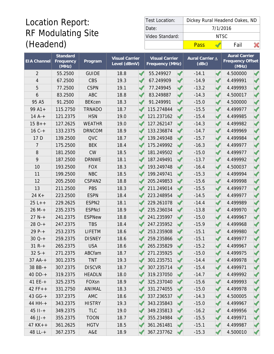# Location Report: RF Modulating Site (Headend)

| Test Location:  | Dickey Rural Headend Oakes, ND |          |      |  |  |  |  |
|-----------------|--------------------------------|----------|------|--|--|--|--|
| Date:           |                                | 7/1/2016 |      |  |  |  |  |
| Video Standard: |                                | NTSC.    |      |  |  |  |  |
|                 | Pass                           |          | Fail |  |  |  |  |

| <b>EIA Channel</b> | Standard<br>Frequency<br>$\overline{\text{(MHz)}}$ | Program           | <b>Visual Carrier</b><br>Level (dBmV) |               | Visual Carrier<br>Frequency (MHz) |                      | Aural Carrier △<br>(dBc) | <b>Aural Carrier</b><br><b>Frequency Offset</b><br>(MHz) |  |
|--------------------|----------------------------------------------------|-------------------|---------------------------------------|---------------|-----------------------------------|----------------------|--------------------------|----------------------------------------------------------|--|
| $\overline{2}$     | 55.2500                                            | <b>GUIDE</b>      | 18.8                                  | $\mathscr{A}$ | 55.249927                         |                      | $-14.1$                  | 4.500000                                                 |  |
| 4                  | 67.2500                                            | <b>CBS</b>        | 19.3                                  |               | 67.249909                         |                      | $-14.9$                  | 4.499991                                                 |  |
| 5                  | 77.2500                                            | <b>CSPN</b>       | 19.1                                  |               | 77.249945                         |                      | $-13.2$                  | 4.499993                                                 |  |
| 6                  | 83.2500                                            | ABC               | 18.8                                  |               | 83.249887                         | √                    | $-14.3$                  | 4.500017                                                 |  |
| 95 A5              | 91.2500                                            | <b>BEKcen</b>     | 18.3                                  |               | 91.249991                         |                      | $-15.0$                  | 4.500000                                                 |  |
| $99A1+$            | 115.2750                                           | <b>TRNADO</b>     | 18.7                                  |               | 115.274844                        | $\checkmark$         | $-15.5$                  | 4.499977                                                 |  |
| $14A^{-+}$         | 121.2375                                           | <b>HSN</b>        | 19.0                                  |               | 121.237162                        | √                    | $-15.4$                  | 4.499985                                                 |  |
| $15B++$            | 127.2625                                           | <b>WEATHR</b>     | 19.0                                  |               | 127.262147                        |                      | $-14.3$                  | 4.499982                                                 |  |
| $16C +$            | 133.2375                                           | <b>DRNCOM</b>     | 18.9                                  |               | 133.236874                        |                      | $-14.7$                  | 4.499969                                                 |  |
| 17 D               | 139.2500                                           | <b>QVC</b>        | 18.7                                  |               | 139.249348                        |                      | $-15.7$                  | 4.499984                                                 |  |
| 7                  | 175.2500                                           | <b>BEK</b>        | 18.4                                  |               | 175.249992                        |                      | $-16.3$                  | 4.499977                                                 |  |
| $\, 8$             | 181.2500                                           | <b>CW</b>         | 18.5                                  |               | 181.249502                        |                      | $-15.0$                  | 4.499977                                                 |  |
| 9                  | 187.2500                                           | <b>DRNWE</b>      | 18.1                                  |               | 187.249491                        |                      | $-13.7$                  | 4.499992                                                 |  |
| 10                 | 193.2500                                           | <b>FOX</b>        | 18.3                                  |               | 193.249748                        |                      | $-16.4$                  | 4.500037                                                 |  |
| 11                 | 199.2500                                           | <b>NBC</b>        | 18.5                                  |               | 199.249741                        |                      | $-15.3$                  | 4.499994                                                 |  |
| 12                 | 205.2500                                           | CSPAN2            | 18.8                                  |               | 205.249853                        |                      | $-15.6$                  | 4.499998                                                 |  |
| 13                 | 211.2500                                           | <b>PBS</b>        | 18.3                                  |               | 211.249014                        |                      | $-15.5$                  | 4.499977                                                 |  |
| $24K +$            | 223.2500                                           | <b>ESPN</b>       | 18.4                                  |               | 223.248954                        |                      | $-14.5$                  | 4.499977                                                 |  |
| $25L++$            | 229.2625                                           | ESPN <sub>2</sub> | 18.1                                  |               | 229.261078                        |                      | $-14.4$                  | 4.499989                                                 |  |
| $26 M +$           | 235.2375                                           | <b>ESPNcl</b>     | 18.9                                  |               | 235.236034                        |                      | $-13.8$                  | 4.499970                                                 |  |
| $27 N +$           | 241.2375                                           | <b>ESPNew</b>     | 18.8                                  |               | 241.235997                        |                      | $-15.0$                  | 4.499967                                                 |  |
| $280 - +$          | 247.2375                                           | <b>TBS</b>        | 18.4                                  |               | 247.235952                        | ✔                    | $-15.9$                  | 4.499968                                                 |  |
| $29P-+$            | 253.2375                                           | <b>LIFETM</b>     | 18.6                                  |               | 253.235908                        |                      | $-15.1$                  | 4.499980                                                 |  |
| $30Q-+$            | 259.2375                                           | <b>DISNEY</b>     | 18.6                                  |               | 259.235866                        |                      | $-15.1$                  | 4.499977                                                 |  |
| $31 R +$           | 265.2375                                           | <b>USA</b>        | 18.6                                  |               | 265.235829                        |                      | $-15.2$                  | 4.499967                                                 |  |
| $32 S++$           | 271.2375                                           | ABCfam            | 18.7                                  |               | 271.235925                        |                      | $-15.0$                  | 4.499975                                                 |  |
| $37$ AA-+          | 301.2375                                           | <b>TNT</b>        | 19.3                                  |               | 301.235751                        |                      | $-14.4$                  | 4.499978                                                 |  |
| $38$ BB-+          | 307.2375                                           | <b>DISCVR</b>     | 18.7                                  |               | 307.235714                        | ✔                    | $-15.4$                  | 4.499971                                                 |  |
| $40$ DD-+          | 319.2375                                           | <b>HEADLN</b>     | 18.0                                  |               | 319.237050                        | $\blacktriangleleft$ | $-14.7$                  | 4.499992                                                 |  |
| $41EE-+$           | 325.2375                                           | FOXsn             | 18.9                                  |               | 325.237040                        |                      | $-15.6$                  | 4.499993                                                 |  |
| $42 FF++$          | 331.2750                                           | ANIMAL            | 18.3                                  |               | 331.274055                        | ✔                    | $-15.0$                  | 4.499978                                                 |  |
| $43 G - +$         | 337.2375                                           | AMC               | 18.6                                  |               | 337.236537                        |                      | $-14.3$                  | 4.500005                                                 |  |
| $44$ HH- $+$       | 343.2375                                           | <b>HISTRY</b>     | 19.3                                  |               | 343.235843                        |                      | $-15.0$                  | 4.499967                                                 |  |
| $45$ II-+          | 349.2375                                           | <b>TLC</b>        | 19.0                                  |               | 349.235813                        | ✔                    | $-16.2$                  | 4.499956                                                 |  |
| $46$ JJ-+          | 355.2375                                           | <b>TOON</b>       | 18.7                                  |               | 355.234984                        |                      | $-15.5$                  | 4.499971                                                 |  |
| $47$ KK + +        | 361.2625                                           | <b>HGTV</b>       | 18.5                                  |               | 361.261481                        | √                    | $-15.1$                  | 4.499987                                                 |  |
| $48 L - +$         | 367.2375                                           | A&E               | 18.9                                  |               | 367.237762                        | $\blacktriangleleft$ | $-15.3$                  | 4.500010                                                 |  |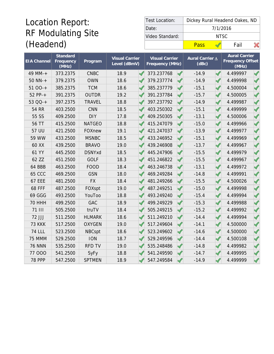# Location Report: RF Modulating Site (Headend)

| Test Location:  | Dickey Rural Headend Oakes, ND |          |      |  |  |  |  |
|-----------------|--------------------------------|----------|------|--|--|--|--|
| Date:           |                                | 7/1/2016 |      |  |  |  |  |
| Video Standard: |                                | NTSC.    |      |  |  |  |  |
|                 | Pass                           |          | Fail |  |  |  |  |

| <b>EIA Channel</b> | Standard<br>Frequency<br>$\overline{\text{(MHz)}}$ | Program       | <b>Visual Carrier</b><br>Level (dBmV) | <b>Visual Carrier</b><br>Frequency (MHz) |                          | Aural Carrier △<br>(dBc) |  | <b>Aural Carrier</b><br><b>Frequency Offset</b><br>(MHz) |  |
|--------------------|----------------------------------------------------|---------------|---------------------------------------|------------------------------------------|--------------------------|--------------------------|--|----------------------------------------------------------|--|
| 49 MM-+            | 373.2375                                           | <b>CNBC</b>   | 18.9                                  | 373.237768                               |                          | $-14.9$                  |  | 4.499997                                                 |  |
| $50$ NN-+          | 379.2375                                           | <b>OWN</b>    | 18.6                                  | 379.237774                               | ✔                        | $-14.9$                  |  | 4.499998                                                 |  |
| $5100-+$           | 385.2375                                           | <b>TCM</b>    | 18.6                                  | 385.237779                               |                          | $-15.1$                  |  | 4.500004                                                 |  |
| 52 PP-+            | 391.2375                                           | <b>OUTDR</b>  | 19.2                                  | 391.237784                               |                          | $-15.7$                  |  | 4.500005                                                 |  |
| 53 QQ-+            | 397.2375                                           | <b>TRAVEL</b> | 18.8                                  | 397.237792                               | ℐ                        | $-14.9$                  |  | 4.499987                                                 |  |
| <b>54 RR</b>       | 403.2500                                           | <b>CNN</b>    | 18.5                                  | 403.250302                               | S                        | $-15.1$                  |  | 4.499999                                                 |  |
| 55 SS              | 409.2500                                           | <b>DIY</b>    | 17.8                                  | 409.250305                               |                          | $-13.1$                  |  | 4.500006                                                 |  |
| 56 TT              | 415.2500                                           | <b>NATGEO</b> | 18.8                                  | 415.247079                               |                          | $-15.0$                  |  | 4.499966                                                 |  |
| 57 UU              | 421.2500                                           | FOXnew        | 19.1                                  | 421.247037                               | $\checkmark$             | $-13.9$                  |  | 4.499977                                                 |  |
| 59 WW              | 433.2500                                           | <b>MSNBC</b>  | 18.5                                  | 433.246952                               |                          | $-15.1$                  |  | 4.499969                                                 |  |
| 60 XX              | 439.2500                                           | <b>BRAVO</b>  | 19.0                                  | 439.246908                               |                          | $-13.7$                  |  | 4.499967                                                 |  |
| 61 YY              | 445.2500                                           | <b>DSNYxd</b> | 18.5                                  | 445.247906                               |                          | $-15.5$                  |  | 4.499979                                                 |  |
| 62 ZZ              | 451.2500                                           | <b>GOLF</b>   | 18.3                                  | 451.246822                               | $\overline{\mathscr{A}}$ | $-15.5$                  |  | 4.499967                                                 |  |
| 64 BBB             | 463.2500                                           | <b>FOOD</b>   | 18.4                                  | 463.246738                               |                          | $-13.1$                  |  | 4.499972                                                 |  |
| <b>65 CCC</b>      | 469.2500                                           | <b>GSN</b>    | 18.0                                  | 469.249284                               | $\checkmark$             | $-14.8$                  |  | 4.499991                                                 |  |
| <b>67 EEE</b>      | 481.2500                                           | <b>FX</b>     | 18.4                                  | 481.249266                               |                          | $-15.5$                  |  | 4.500026                                                 |  |
| <b>68 FFF</b>      | 487.2500                                           | FOXspt        | 19.0                                  | 487.249251                               | ℐ                        | $-15.0$                  |  | 4.499998                                                 |  |
| 69 GGG             | 493.2500                                           | YouToo        | 18.8                                  | 493.249240                               | √                        | $-15.4$                  |  | 4.499994                                                 |  |
| <b>70 HHH</b>      | 499.2500                                           | <b>GAC</b>    | 18.9                                  | 499.249229                               |                          | $-15.3$                  |  | 4.499988                                                 |  |
| <b>71 III</b>      | 505.2500                                           | truTV         | 18.4                                  | 505.249215                               | ✔                        | $-15.2$                  |  | 4.499992                                                 |  |
| 72 JJJ             | 511.2500                                           | <b>HLMARK</b> | 18.6                                  | 511.249210                               |                          | $-14.4$                  |  | 4.499994                                                 |  |
| <b>73 KKK</b>      | 517.2500                                           | <b>OXYGEN</b> | 19.0                                  | 517.249604                               |                          | $-14.1$                  |  | 4.500000                                                 |  |
| <b>74 LLL</b>      | 523.2500                                           | <b>NBCspt</b> | 18.6                                  | 523.249602                               |                          | $-14.6$                  |  | 4.500000                                                 |  |
| 75 MMM             | 529.2500                                           | <b>ION</b>    | 18.7                                  | 529.249596                               | $\overline{\mathscr{A}}$ | $-14.4$                  |  | 4.500108                                                 |  |
| <b>76 NNN</b>      | 535.2500                                           | <b>RFD TV</b> | 19.0                                  | 535.248486                               |                          | $-14.8$                  |  | 4.499982                                                 |  |
| 77 000             | 541.2500                                           | SyFy          | 18.8                                  | 541.249590                               |                          | $-14.7$                  |  | 4.499995                                                 |  |
| <b>78 PPP</b>      | 547.2500                                           | <b>SPTMEN</b> | 18.9                                  | 547.249584                               |                          | $-14.9$                  |  | 4.499999                                                 |  |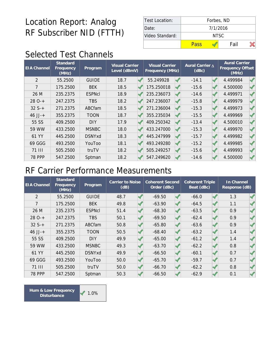| Test Location:  |      | Forbes, ND |  |  |  |  |  |  |
|-----------------|------|------------|--|--|--|--|--|--|
| Date:           |      | 7/1/2016   |  |  |  |  |  |  |
| Video Standard: |      | NTSC.      |  |  |  |  |  |  |
|                 | Pass | Fail       |  |  |  |  |  |  |

# Selected Test Channels

| <b>EIA Channel</b> | Standard<br>Frequency<br>(MHz) | Program       | <b>Visual Carrier</b><br>Level (dBmV) | Visual Carrier<br>Frequency (MHz) |  | Aural Carrier A<br>(dBc) |  | <b>Aural Carrier</b><br>Frequency Offset<br>(MHz) |  |
|--------------------|--------------------------------|---------------|---------------------------------------|-----------------------------------|--|--------------------------|--|---------------------------------------------------|--|
| 2                  | 55.2500                        | <b>GUIDE</b>  | 18.7                                  | 55.249928                         |  | $-14.1$                  |  | 4.499984                                          |  |
| 7                  | 175.2500                       | <b>BEK</b>    | 18.5                                  | 175.250018                        |  | $-15.6$                  |  | 4.500000                                          |  |
| 26 M               | 235.2375                       | <b>ESPNcI</b> | 18.9                                  | 235.236073                        |  | $-14.6$                  |  | 4.499971                                          |  |
| $280-+$            | 247.2375                       | <b>TBS</b>    | 18.2                                  | 247.236007                        |  | $-15.8$                  |  | 4.499979                                          |  |
| $32S+$             | 271.2375                       | ABCfam        | 18.5                                  | 271.236004                        |  | $-15.3$                  |  | 4.499973                                          |  |
| $46$ JJ-+          | 355.2375                       | <b>TOON</b>   | 18.7                                  | 355.235034                        |  | $-15.5$                  |  | 4.499969                                          |  |
| 55 SS              | 409.2500                       | <b>DIY</b>    | 17.9                                  | 409.250342                        |  | $-13.4$                  |  | 4.500010                                          |  |
| 59 WW              | 433.2500                       | <b>MSNBC</b>  | 18.0                                  | 433.247000                        |  | $-15.3$                  |  | 4.499970                                          |  |
| 61 YY              | 445.2500                       | <b>DSNYxd</b> | 18.3                                  | 445.247999                        |  | $-15.7$                  |  | 4.499982                                          |  |
| 69 GGG             | 493.2500                       | YouToo        | 18.1                                  | 493.249280                        |  | $-15.2$                  |  | 4.499985                                          |  |
| <b>71 III</b>      | 505.2500                       | truTV         | 18.2                                  | 505.249257                        |  | $-15.6$                  |  | 4.499993                                          |  |
| <b>78 PPP</b>      | 547.2500                       | Sptman        | 18.2                                  | 547.249620                        |  | $-14.6$                  |  | 4.500000                                          |  |

#### RF Carrier Performance Measurements

| <b>EIA Channel</b> | Standard<br>Frequency<br>(MHz) | Program       | Carrier to Noise<br>(dB) | <b>Coherent Second</b><br>Order (dBc) | <b>Coherent Triple</b><br>Beat (dBc) | In Channel<br>Response (dB) |  |
|--------------------|--------------------------------|---------------|--------------------------|---------------------------------------|--------------------------------------|-----------------------------|--|
| $\overline{2}$     | 55.2500                        | <b>GUIDE</b>  | 48.7                     | $-69.50$                              | $-66.0$                              | 1.3                         |  |
| 7                  | 175.2500                       | <b>BEK</b>    | 49.8                     | $-63.90$                              | $-64.5$                              | 1.1                         |  |
| 26 M               | 235.2375                       | <b>ESPNcI</b> | 51.4                     | $-68.30$                              | $-63.5$                              | 0.9                         |  |
| $280-+$            | 247.2375                       | <b>TBS</b>    | 50.1                     | $-69.50$                              | $-62.4$                              | 0.9                         |  |
| $32S+$             | 271.2375                       | <b>ABCfam</b> | 50.8                     | $-65.80$                              | $-63.6$                              | 0.9                         |  |
| $46$ JJ-+          | 355.2375                       | <b>TOON</b>   | 50.5                     | $-68.40$                              | $-63.2$                              | 1.4                         |  |
| 55 SS              | 409.2500                       | <b>DIY</b>    | 49.9                     | $-65.00$                              | $-61.2$                              | 1.4                         |  |
| 59 WW              | 433.2500                       | <b>MSNBC</b>  | 49.3                     | $-63.70$                              | $-62.2$                              | 0.8                         |  |
| 61 YY              | 445.2500                       | <b>DSNYxd</b> | 49.9                     | $-66.50$                              | $-60.1$                              | 0.7                         |  |
| 69 GGG             | 493.2500                       | YouToo        | 50.0                     | $-65.70$                              | $-59.7$                              | 0.7                         |  |
| <b>71 III</b>      | 505.2500                       | truTV         | 50.0                     | $-66.70$                              | $-62.2$                              | 0.8                         |  |
| <b>78 PPP</b>      | 547.2500                       | Sptman        | 50.3                     | $-66.50$                              | $-62.9$                              | 0.1                         |  |

Hum & Low Frequency **1.0% Disturbance**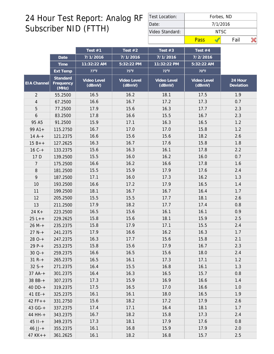| Test Location:  |      |          | Forbes, ND |  |
|-----------------|------|----------|------------|--|
| Date:           |      | 7/1/2016 |            |  |
| Video Standard: |      |          | NTSC.      |  |
|                 | Pass |          | Fail       |  |

|                |                                | Test $#1$             | Test $#2$             | Test $#3$             | Test #4               |                      |
|----------------|--------------------------------|-----------------------|-----------------------|-----------------------|-----------------------|----------------------|
|                | Date                           | 7/1/2016              | 7/1/2016              | 7/1/2016              | 7/2/2016              |                      |
|                | Time                           | 11:32:22 AM           | 5:32:22 PM            | 11:32:22 PM           | 5:32:22 AM            |                      |
|                | Ext Temp                       | $77^{\circ}$ F        | $75^{\circ}F$         | $72^{\circ}F$         | 70°F                  |                      |
| EIA Channel    | Standard<br>Frequency<br>(MHz) | Video Level<br>(dBmV) | Video Level<br>(dBmV) | Video Level<br>(dBmV) | Video Level<br>(dBmV) | 24 Hour<br>Deviation |
| $\overline{2}$ | 55.2500                        | 16.5                  | 16.2                  | 18.1                  | 17.5                  | 1.9                  |
| 4              | 67.2500                        | 16.6                  | 16.7                  | 17.2                  | 17.3                  | 0.7                  |
| 5              | 77.2500                        | 17.9                  | 15.6                  | 16.3                  | 17.7                  | 2.3                  |
| 6              | 83.2500                        | 17.8                  | 16.6                  | 15.5                  | 16.7                  | 2.3                  |
| 95 A5          | 91.2500                        | 15.9                  | 17.1                  | 16.3                  | 16.5                  | 1.2                  |
| $99A1+$        | 115.2750                       | 16.7                  | 17.0                  | 17.0                  | 15.8                  | 1.2                  |
| $14A^{-+}$     | 121.2375                       | 16.6                  | 15.6                  | 15.6                  | 18.2                  | 2.6                  |
| $15B++$        | 127.2625                       | 16.3                  | 16.7                  | 17.6                  | 15.8                  | 1.8                  |
| $16C +$        | 133.2375                       | 15.6                  | 16.3                  | 16.1                  | 17.8                  | 2.2                  |
| 17 D           | 139.2500                       | 15.5                  | 16.0                  | 16.2                  | 16.0                  | 0.7                  |
| 7              | 175.2500                       | 16.6                  | 16.2                  | 16.6                  | 17.8                  | 1.6                  |
| $\, 8$         | 181.2500                       | 15.5                  | 15.9                  | 17.9                  | 17.6                  | 2.4                  |
| 9              | 187.2500                       | 17.1                  | 16.0                  | 17.3                  | 16.2                  | 1.3                  |
| 10             | 193.2500                       | 16.6                  | 17.2                  | 17.9                  | 16.5                  | 1.4                  |
| 11             | 199.2500                       | 18.1                  | 16.7                  | 16.7                  | 16.4                  | 1.7                  |
| 12             | 205.2500                       | 15.5                  | 15.5                  | 17.7                  | 18.1                  | 2.6                  |
| 13             | 211.2500                       | 17.9                  | 18.2                  | 17.7                  | 17.4                  | 0.8                  |
| $24 K +$       | 223.2500                       | 16.5                  | 15.6                  | 16.1                  | 16.1                  | 0.9                  |
| $25L++$        | 229.2625                       | 15.8                  | 15.6                  | 18.1                  | 15.9                  | 2.5                  |
| $26 M +$       | 235.2375                       | 15.8                  | 17.9                  | 17.1                  | 15.5                  | 2.4                  |
| $27 N +$       | 241.2375                       | 17.9                  | 16.6                  | 16.2                  | 16.3                  | 1.7                  |
| $280-+$        | 247.2375                       | 16.3                  | 17.7                  | 15.6                  | 15.8                  | 2.1                  |
| $29P-+$        | 253.2375                       | 15.8                  | 15.6                  | 17.9                  | 16.7                  | 2.3                  |
| $30Q-+$        | 259.2375                       | 16.6                  | 16.5                  | 15.6                  | 18.0                  | 2.4                  |
| $31 R +$       | 265.2375                       | 16.5                  | 16.1                  | 17.3                  | 17.1                  | 1.2                  |
| $32S+$         | 271.2375                       | 16.4                  | 15.5                  | 16.8                  | 16.1                  | 1.3                  |
| $37 AA-+$      | 301.2375                       | 16.4                  | 16.3                  | 16.5                  | 15.7                  | 0.8                  |
| 38 BB-+        | 307.2375                       | 17.3                  | 15.9                  | 16.9                  | 16.6                  | 1.4                  |
| $40$ DD-+      | 319.2375                       | 17.5                  | 16.5                  | 17.0                  | 16.6                  | 1.0                  |
| $41EE++$       | 325.2375                       | 16.1                  | 16.1                  | 18.0                  | 16.5                  | 1.9                  |
| $42 FF++$      | 331.2750                       | 15.6                  | 18.2                  | 17.2                  | 17.9                  | 2.6                  |
| 43 GG-+        | 337.2375                       | 17.4                  | 17.1                  | 16.4                  | 18.1                  | 1.7                  |
| 44 HH-+        | 343.2375                       | 16.7                  | 18.2                  | 15.8                  | 17.3                  | 2.4                  |
| $45$ $11 - +$  | 349.2375                       | 17.3                  | 18.1                  | 17.9                  | 17.6                  | 0.8                  |
| $46$ JJ-+      | 355.2375                       | 16.1                  | 16.8                  | 15.9                  | 17.9                  | 2.0                  |
| $47$ KK + +    | 361.2625                       | 16.1                  | 18.2                  | 16.8                  | 15.7                  | 2.5                  |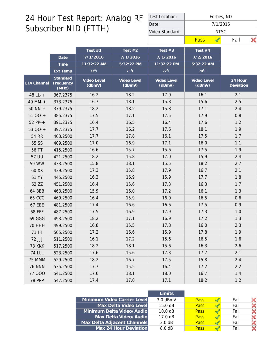| Test Location:  |      | Forbes, ND |  |  |  |  |  |  |
|-----------------|------|------------|--|--|--|--|--|--|
| Date:           |      | 7/1/2016   |  |  |  |  |  |  |
| Video Standard: |      | NTSC       |  |  |  |  |  |  |
|                 | Pass | Fail       |  |  |  |  |  |  |

|                    |                                | Test #1               | Test $#2$             | Test $#3$             | Test $#4$             |                      |
|--------------------|--------------------------------|-----------------------|-----------------------|-----------------------|-----------------------|----------------------|
|                    | Date                           | 7/1/2016              | 7/1/2016              | 7/1/2016              | 7/2/2016              |                      |
|                    | Time                           | 11:32:22 AM           | 5:32:22 PM            | 11:32:22 PM           | 5:32:22 AM            |                      |
|                    | Ext Temp                       | $77^{\circ}$ F        | $75^{\circ}$ F        | $72^{\circ}F$         | $70^{\circ}$ F        |                      |
| <b>EIA</b> Channel | Standard<br>Frequency<br>(MHz) | Video Level<br>(dBmV) | Video Level<br>(dBmV) | Video Level<br>(dBmV) | Video Level<br>(dBmV) | 24 Hour<br>Deviation |
| 48 LL-+            | 367.2375                       | 16.2                  | 18.2                  | 17.0                  | 16.1                  | 2.1                  |
| 49 MM-+            | 373.2375                       | 16.7                  | 18.1                  | 15.8                  | 15.6                  | 2.5                  |
| $50$ NN-+          | 379.2375                       | 18.2                  | 18.2                  | 15.8                  | 17.1                  | 2.4                  |
| $5100-+$           | 385.2375                       | 17.5                  | 17.1                  | 17.5                  | 17.9                  | 0.8                  |
| $52 PP - +$        | 391.2375                       | 16.4                  | 16.5                  | 16.4                  | 17.6                  | 1.2                  |
| 53 QQ-+            | 397.2375                       | 17.7                  | 16.2                  | 17.6                  | 18.1                  | 1.9                  |
| 54 RR              | 403.2500                       | 17.7                  | 17.8                  | 16.1                  | 17.5                  | 1.7                  |
| 55 SS              | 409.2500                       | 17.0                  | 16.9                  | 17.1                  | 16.0                  | 1.1                  |
| 56 TT              | 415.2500                       | 16.6                  | 15.7                  | 15.6                  | 17.5                  | 1.9                  |
| 57 UU              | 421.2500                       | 18.2                  | 15.8                  | 17.0                  | 15.9                  | 2.4                  |
| 59 WW              | 433.2500                       | 15.8                  | 18.1                  | 15.5                  | 18.2                  | 2.7                  |
| 60 XX              | 439.2500                       | 17.3                  | 15.8                  | 17.9                  | 16.7                  | 2.1                  |
| 61 YY              | 445.2500                       | 16.3                  | 16.9                  | 15.9                  | 17.7                  | 1.8                  |
| 62 ZZ              | 451.2500                       | 16.4                  | 15.6                  | 17.3                  | 16.3                  | 1.7                  |
| 64 BBB             | 463.2500                       | 15.9                  | 16.0                  | 17.2                  | 16.1                  | 1.3                  |
| <b>65 CCC</b>      | 469.2500                       | 16.4                  | 15.9                  | 16.0                  | 16.5                  | 0.6                  |
| <b>67 EEE</b>      | 481.2500                       | 17.4                  | 16.6                  | 16.6                  | 17.5                  | 0.9                  |
| <b>68 FFF</b>      | 487.2500                       | 17.5                  | 16.9                  | 17.9                  | 17.3                  | 1.0                  |
| 69 GGG             | 493.2500                       | 18.2                  | 17.1                  | 16.9                  | 17.2                  | 1.3                  |
| <b>70 HHH</b>      | 499.2500                       | 16.8                  | 15.5                  | 17.8                  | 16.0                  | 2.3                  |
| <b>71 III</b>      | 505.2500                       | 17.2                  | 16.6                  | 15.9                  | 17.8                  | 1.9                  |
| 72 JJJ             | 511.2500                       | 16.1                  | 17.2                  | 15.6                  | 16.5                  | 1.6                  |
| <b>73 KKK</b>      | 517.2500                       | 18.2                  | 18.1                  | 15.6                  | 16.3                  | 2.6                  |
| <b>74 LLL</b>      | 523.2500                       | 17.6                  | 15.6                  | 17.3                  | 17.7                  | 2.1                  |
| 75 MMM             | 529.2500                       | 18.2                  | 16.7                  | 17.5                  | 15.8                  | 2.4                  |
| <b>76 NNN</b>      | 535.2500                       | 17.7                  | 15.5                  | 16.4                  | 17.2                  | 2.2                  |
| 77 000             | 541.2500                       | 17.6                  | 18.1                  | 18.0                  | 16.7                  | 1.4                  |
| <b>78 PPP</b>      | 547.2500                       | 17.4                  | 17.0                  | 17.1                  | 18.2                  | 1.2                  |

|                             | I imits           |             |      |  |
|-----------------------------|-------------------|-------------|------|--|
| Minimum Video Carrier Level | $3.0$ dBmV        | <b>Pass</b> | Fail |  |
| Max Delta Video Level       | $15.0 \text{ dB}$ | <b>Pass</b> | Fail |  |
| Minimum Delta Video/Audio   | 10.0 dB           | <b>Pass</b> | Fail |  |
| Max Delta Video/Audio       | $17.0 \text{ dB}$ | <b>Pass</b> | Fail |  |
| Max Delta Adjacent Channels | 3.0 dB            | <b>Pass</b> | Fail |  |
| Max 24 Hour Deviation       | 8.0 dB            | <b>Pass</b> | Fail |  |
|                             |                   |             |      |  |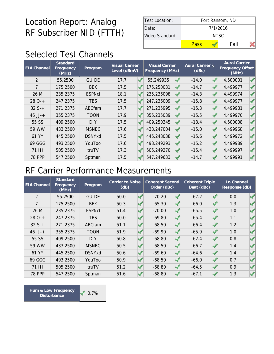| Test Location:  | Fort Ransom, ND |       |      |  |  |  |  |  |
|-----------------|-----------------|-------|------|--|--|--|--|--|
| Date:           | 7/1/2016        |       |      |  |  |  |  |  |
| Video Standard: |                 | NTSC. |      |  |  |  |  |  |
|                 | Pass            |       | Fail |  |  |  |  |  |

# Selected Test Channels

| <b>EIA Channel</b> | Standard<br>Frequency<br>(MHz) | Program       | <b>Visual Carrier</b><br>Level (dBmV) | <b>Visual Carrier</b><br>Frequency (MHz) | Aural Carrier A<br>(dBc) | <b>Aural Carrier</b><br>Frequency Offset<br>(MHz) |  |
|--------------------|--------------------------------|---------------|---------------------------------------|------------------------------------------|--------------------------|---------------------------------------------------|--|
| $\overline{2}$     | 55.2500                        | <b>GUIDE</b>  | 17.7                                  | 55.249935                                | $-14.0$                  | 4.500001                                          |  |
| $\overline{7}$     | 175.2500                       | <b>BEK</b>    | 17.5                                  | 175.250031                               | $-14.7$                  | 4.499977                                          |  |
| 26 M               | 235.2375                       | <b>ESPNcI</b> | 18.1                                  | 235.236098                               | $-14.3$                  | 4.499974                                          |  |
| $280-+$            | 247.2375                       | <b>TBS</b>    | 17.5                                  | 247.236009                               | $-15.8$                  | 4.499977                                          |  |
| $32S+$             | 271.2375                       | ABCfam        | 17.7                                  | 271.235995                               | $-15.3$                  | 4.499981                                          |  |
| $46$ JJ-+          | 355.2375                       | <b>TOON</b>   | 17.9                                  | 355.235039                               | $-15.5$                  | 4.499970                                          |  |
| 55 SS              | 409.2500                       | <b>DIY</b>    | 17.5                                  | 409.250345                               | $-13.4$                  | 4.500008                                          |  |
| 59 WW              | 433.2500                       | <b>MSNBC</b>  | 17.6                                  | 433.247004                               | $-15.0$                  | 4.499968                                          |  |
| 61 YY              | 445.2500                       | <b>DSNYxd</b> | 17.5                                  | 445.248038                               | $-15.6$                  | 4.499972                                          |  |
| 69 GGG             | 493.2500                       | YouToo        | 17.6                                  | 493.249293                               | $-15.2$                  | 4.499989                                          |  |
| <b>71 III</b>      | 505.2500                       | truTV         | 17.3                                  | 505.249270                               | $-15.4$                  | 4.499997                                          |  |
| <b>78 PPP</b>      | 547.2500                       | Sptman        | 17.5                                  | 547.249633                               | $-14.7$                  | 4.499991                                          |  |

#### RF Carrier Performance Measurements

| <b>EIA Channel</b> | Standard<br>Frequency<br>(MHz) | Program       | Carrier to Noise<br>(dB) | <b>Coherent Second</b><br>Order (dBc) | <b>Coherent Triple</b><br>Beat (dBc) | In Channel<br>Response (dB) |  |
|--------------------|--------------------------------|---------------|--------------------------|---------------------------------------|--------------------------------------|-----------------------------|--|
| $\overline{2}$     | 55.2500                        | <b>GUIDE</b>  | 50.0                     | $-70.20$                              | $-67.2$                              | 0.0                         |  |
| 7                  | 175.2500                       | <b>BEK</b>    | 50.3                     | $-65.30$                              | $-66.0$                              | 1.3                         |  |
| 26 M               | 235.2375                       | <b>ESPNcI</b> | 51.4                     | $-70.00$                              | $-65.5$                              | 1.0                         |  |
| $280-+$            | 247.2375                       | <b>TBS</b>    | 50.0                     | $-69.80$                              | $-65.4$                              | 1.1                         |  |
| $32S+$             | 271.2375                       | <b>ABCfam</b> | 51.1                     | $-68.50$                              | $-66.4$                              | 1.2                         |  |
| $46$ JJ-+          | 355.2375                       | <b>TOON</b>   | 51.9                     | $-69.90$                              | $-65.9$                              | 1.0                         |  |
| 55 SS              | 409.2500                       | <b>DIY</b>    | 50.8                     | $-68.80$                              | $-62.4$                              | 0.8                         |  |
| 59 WW              | 433.2500                       | <b>MSNBC</b>  | 50.5                     | $-68.50$                              | $-66.7$                              | 1.4                         |  |
| 61 YY              | 445.2500                       | <b>DSNYxd</b> | 50.6                     | $-69.60$                              | $-64.6$                              | 1.4                         |  |
| 69 GGG             | 493.2500                       | YouToo        | 50.9                     | $-68.50$                              | $-66.0$                              | 0.7                         |  |
| 71 III             | 505.2500                       | truTV         | 51.2                     | $-68.80$                              | $-64.5$                              | 0.9                         |  |
| <b>78 PPP</b>      | 547.2500                       | Sptman        | 51.6                     | $-68.80$                              | $-67.1$                              | 1.3                         |  |

Hum & Low Frequency **1996 1998 Disturbance**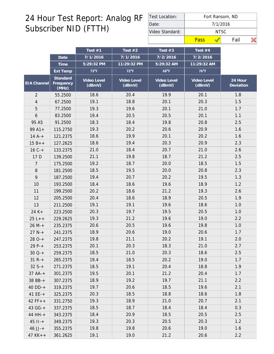| Test Location:  | Fort Ransom, ND |       |      |  |  |  |  |  |  |
|-----------------|-----------------|-------|------|--|--|--|--|--|--|
| Date:           | 7/1/2016        |       |      |  |  |  |  |  |  |
| Video Standard: |                 | NTSC. |      |  |  |  |  |  |  |
|                 | Pass            |       | Fail |  |  |  |  |  |  |

| 7/1/2016<br>7/1/2016<br>Date<br>5:29:32 PM<br>11:29:32 PM<br>Time                               | 7/2/2016<br>7/2/2016                                                   |
|-------------------------------------------------------------------------------------------------|------------------------------------------------------------------------|
|                                                                                                 |                                                                        |
|                                                                                                 | 5:29:32 AM<br>11:29:32 AM                                              |
| $72^{\circ}F$<br>$73^{\circ}F$<br>Ext Temp                                                      | $68^{\circ}F$<br>$76^{\circ}F$                                         |
| Standard<br>Video Level<br>Video Level<br>EIA Channel<br>Frequency<br>(dBmV)<br>(dBmV)<br>(MHz) | Video Level<br>Video Level<br>24 Hour<br>(dBmV)<br>Deviation<br>(dBmV) |
| 55.2500<br>18.6<br>20.4<br>$\overline{2}$                                                       | 19.9<br>20.1<br>1.8                                                    |
| 19.1<br>18.8<br>$\overline{4}$<br>67.2500                                                       | 20.3<br>1.5<br>20.1                                                    |
| 5<br>19.3<br>19.6<br>77.2500                                                                    | 20.1<br>21.0<br>1.7                                                    |
| 19.4<br>20.5<br>6<br>83.2500                                                                    | 20.5<br>20.1<br>1.1                                                    |
| 18.4<br>95 A5<br>91.2500<br>18.3                                                                | 19.8<br>20.8<br>2.5                                                    |
| $99A1+$<br>115.2750<br>19.3<br>20.2                                                             | 20.6<br>20.9<br>1.6                                                    |
| 18.6<br>19.9<br>$14A^{-+}$<br>121.2375                                                          | 20.1<br>20.2<br>1.6                                                    |
| 18.6<br>19.4<br>$15B++$<br>127.2625                                                             | 20.3<br>20.9<br>2.3                                                    |
| 21.0<br>$16C +$<br>18.4<br>133.2375                                                             | 20.7<br>21.0<br>2.6                                                    |
| 17 D<br>21.1<br>19.8<br>139.2500                                                                | 18.7<br>21.2<br>2.5                                                    |
| 19.2<br>18.7<br>$\overline{7}$<br>175.2500                                                      | 1.5<br>20.0<br>18.5                                                    |
| $\, 8$<br>181.2500<br>18.5<br>19.5                                                              | 20.0<br>20.8<br>2.3                                                    |
| 9<br>19.4<br>20.7<br>187.2500                                                                   | 20.2<br>19.5<br>1.3                                                    |
| 18.6<br>10<br>18.4<br>193.2500                                                                  | 19.6<br>18.9<br>1.2                                                    |
| 20.2<br>18.6<br>199.2500<br>11                                                                  | 21.2<br>19.3<br>2.6                                                    |
| 20.4<br>18.6<br>12<br>205.2500                                                                  | 18.9<br>20.5<br>1.9                                                    |
| 19.1<br>19.1<br>13<br>211.2500                                                                  | 19.6<br>18.6<br>1.0                                                    |
| $24 K +$<br>20.3<br>19.7<br>223.2500                                                            | 19.5<br>20.5<br>1.0                                                    |
| 19.3<br>21.2<br>$25 L++$<br>229.2625                                                            | 19.6<br>19.0<br>2.2                                                    |
| 20.6<br>20.5<br>$26 M +$<br>235.2375                                                            | 19.6<br>19.8<br>1.0                                                    |
| $27 N+$<br>18.9<br>20.6<br>241.2375                                                             | 19.0<br>20.6<br>1.7                                                    |
| 19.8<br>21.1<br>$280-+$<br>247.2375                                                             | 20.2<br>19.1<br>2.0                                                    |
| $29P+$<br>20.1<br>20.3<br>253.2375                                                              | 18.3<br>21.0<br>2.7                                                    |
| 18.5<br>259.2375<br>21.0<br>$30Q-+$                                                             | 20.3<br>18.6<br>2.5                                                    |
| 19.4<br>18.5<br>$31 R +$<br>265.2375                                                            | 20.2<br>19.0<br>1.7                                                    |
| $32S+$<br>18.5<br>19.1<br>271.2375                                                              | 20.4<br>18.8<br>1.9                                                    |
| 19.5<br>20.1<br>$37 AA-+$<br>301.2375                                                           | 21.2<br>20.4<br>1.7                                                    |
| 19.2<br>38 BB-+<br>307.2375<br>18.9                                                             | 19.7<br>21.1<br>2.2                                                    |
| $40$ DD-+<br>19.7<br>20.6<br>319.2375                                                           | 18.5<br>19.6<br>2.1                                                    |
| 20.3<br>18.5<br>$41$ EE-+<br>325.2375                                                           | 18.8<br>18.6<br>1.8                                                    |
| 19.3<br>18.9<br>$42 FF++$<br>331.2750                                                           | 21.0<br>20.7<br>2.1                                                    |
| 18.5<br>18.7<br>$43 G - +$<br>337.2375                                                          | 18.4<br>18.4<br>0.3                                                    |
| 44 HH-+<br>18.4<br>20.9<br>343.2375                                                             | 18.5<br>20.5<br>2.5                                                    |
| 19.3<br>20.3<br>$45$ $11 - +$<br>349.2375                                                       | 20.5<br>1.2<br>20.3                                                    |
| 19.8<br>19.8<br>$46$ JJ-+<br>355.2375                                                           | 20.6<br>19.0<br>1.6                                                    |
| 19.1<br>19.0<br>$47$ KK + +<br>361.2625                                                         | 21.2<br>2.2<br>20.6                                                    |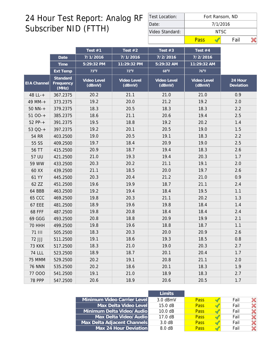| Test Location:  | Fort Ransom, ND |       |      |  |  |  |  |  |
|-----------------|-----------------|-------|------|--|--|--|--|--|
| Date:           | 7/1/2016        |       |      |  |  |  |  |  |
| Video Standard: |                 | NTSC. |      |  |  |  |  |  |
|                 | Pass            |       | Fail |  |  |  |  |  |

|               |                                | Test $#1$             | Test $#2$             | Test $#3$             | Test #4               |                      |
|---------------|--------------------------------|-----------------------|-----------------------|-----------------------|-----------------------|----------------------|
|               | Date                           | 7/1/2016              | 7/1/2016              | 7/2/2016              | 7/2/2016              |                      |
|               | Time                           | 5:29:32 PM            | 11:29:32 PM           | 5:29:32 AM            | 11:29:32 AM           |                      |
|               | Ext Temp                       | $73^{\circ}F$         | $72^{\circ}F$         | $68^{\circ}F$         | 76°F                  |                      |
| EIA Channel   | Standard<br>Frequency<br>(MHz) | Video Level<br>(dBmV) | Video Level<br>(dBmV) | Video Level<br>(dBmV) | Video Level<br>(dBmV) | 24 Hour<br>Deviation |
| 48 LL-+       | 367.2375                       | 20.2                  | 21.1                  | 21.0                  | 21.0                  | 0.9                  |
| 49 MM-+       | 373.2375                       | 19.2                  | 20.0                  | 21.2                  | 19.2                  | 2.0                  |
| $50$ NN-+     | 379.2375                       | 18.3                  | 20.5                  | 18.3                  | 18.3                  | 2.2                  |
| $5100 - +$    | 385.2375                       | 18.6                  | 21.1                  | 20.6                  | 19.4                  | 2.5                  |
| $52 PP - +$   | 391.2375                       | 19.5                  | 18.8                  | 19.2                  | 20.2                  | 1.4                  |
| 53 QQ-+       | 397.2375                       | 19.2                  | 20.1                  | 20.5                  | 19.0                  | 1.5                  |
| 54 RR         | 403.2500                       | 19.0                  | 20.5                  | 19.1                  | 18.3                  | 2.2                  |
| 55 SS         | 409.2500                       | 19.7                  | 18.4                  | 20.9                  | 19.0                  | 2.5                  |
| 56 TT         | 415.2500                       | 20.9                  | 18.7                  | 19.4                  | 18.3                  | 2.6                  |
| 57 UU         | 421.2500                       | 21.0                  | 19.3                  | 19.4                  | 20.3                  | 1.7                  |
| 59 WW         | 433.2500                       | 20.3                  | 20.2                  | 21.1                  | 19.1                  | 2.0                  |
| 60 XX         | 439.2500                       | 21.1                  | 18.5                  | 20.0                  | 19.7                  | 2.6                  |
| 61 YY         | 445.2500                       | 20.3                  | 20.4                  | 21.2                  | 21.0                  | 0.9                  |
| 62 ZZ         | 451.2500                       | 19.6                  | 19.9                  | 18.7                  | 21.1                  | 2.4                  |
| 64 BBB        | 463.2500                       | 19.2                  | 19.4                  | 18.4                  | 19.5                  | 1.1                  |
| <b>65 CCC</b> | 469.2500                       | 19.8                  | 20.3                  | 21.1                  | 20.2                  | 1.3                  |
| <b>67 EEE</b> | 481.2500                       | 18.9                  | 19.6                  | 19.8                  | 18.4                  | 1.4                  |
| <b>68 FFF</b> | 487.2500                       | 19.8                  | 20.8                  | 18.4                  | 18.4                  | 2.4                  |
| 69 GGG        | 493.2500                       | 20.8                  | 18.8                  | 20.9                  | 19.9                  | 2.1                  |
| <b>70 HHH</b> | 499.2500                       | 19.8                  | 19.6                  | 18.8                  | 18.7                  | 1.1                  |
| 71 III        | 505.2500                       | 18.3                  | 20.3                  | 20.0                  | 20.9                  | 2.6                  |
| 72 JJJ        | 511.2500                       | 19.1                  | 18.6                  | 19.3                  | 18.5                  | 0.8                  |
| <b>73 KKK</b> | 517.2500                       | 18.3                  | 21.0                  | 19.0                  | 20.3                  | 2.7                  |
| <b>74 LLL</b> | 523.2500                       | 18.9                  | 18.7                  | 20.1                  | 20.4                  | 1.7                  |
| 75 MMM        | 529.2500                       | 20.2                  | 19.1                  | 20.8                  | 21.1                  | 2.0                  |
| <b>76 NNN</b> | 535.2500                       | 20.2                  | 18.6                  | 20.1                  | 18.3                  | 1.9                  |
| 77 000        | 541.2500                       | 19.1                  | 21.0                  | 18.9                  | 18.3                  | 2.7                  |
| <b>78 PPP</b> | 547.2500                       | 20.6                  | 18.9                  | 20.6                  | 20.5                  | 1.7                  |

|                             | Limits            |             |      |  |
|-----------------------------|-------------------|-------------|------|--|
| Minimum Video Carrier Level | $3.0$ dBmV        | <b>Pass</b> | Fail |  |
| Max Delta Video Level       | 15.0 dB           | <b>Pass</b> | Fail |  |
| Minimum Delta Video/Audio   | 10.0 dB           | <b>Pass</b> | Fail |  |
| Max Delta Video/Audio       | $17.0 \text{ dB}$ | <b>Pass</b> | Fail |  |
| Max Delta Adjacent Channels | 3.0 dB            | <b>Pass</b> | Fail |  |
| Max 24 Hour Deviation       | $8.0 \text{ dB}$  | <b>Pass</b> | Fail |  |
|                             |                   |             |      |  |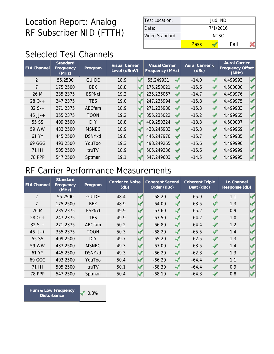| Test Location:  | Jud, ND  |       |  |  |  |  |  |  |
|-----------------|----------|-------|--|--|--|--|--|--|
| Date:           | 7/1/2016 |       |  |  |  |  |  |  |
| Video Standard: |          | NTSC. |  |  |  |  |  |  |
|                 | Pass     | Fail  |  |  |  |  |  |  |

# Selected Test Channels

| <b>EIA Channel</b> | Standard<br>Frequency<br>(MHz) | Program       | <b>Visual Carrier</b><br>Level (dBmV) | <b>Visual Carrier</b><br>Frequency (MHz) | Aural Carrier A<br>(dBc) | <b>Aural Carrier</b><br>Frequency Offset<br>(MHz) |  |
|--------------------|--------------------------------|---------------|---------------------------------------|------------------------------------------|--------------------------|---------------------------------------------------|--|
| $\overline{2}$     | 55.2500                        | <b>GUIDE</b>  | 18.9                                  | 55.249931                                | $-14.0$                  | 4.499993                                          |  |
| 7                  | 175.2500                       | <b>BEK</b>    | 18.8                                  | 175.250021                               | $-15.6$                  | 4.500000                                          |  |
| 26 M               | 235.2375                       | <b>ESPNcI</b> | 19.2                                  | 235.236067                               | $-14.7$                  | 4.499976                                          |  |
| $280-+$            | 247.2375                       | <b>TBS</b>    | 19.0                                  | 247.235994                               | $-15.8$                  | 4.499975                                          |  |
| $32S+$             | 271.2375                       | ABCfam        | 18.9                                  | 271.235980                               | $-15.3$                  | 4.499983                                          |  |
| $46$ JJ-+          | 355.2375                       | <b>TOON</b>   | 19.2                                  | 355.235022                               | $-15.2$                  | 4.499965                                          |  |
| 55 SS              | 409.2500                       | <b>DIY</b>    | 18.8                                  | 409.250324                               | $-13.3$                  | 4.500007                                          |  |
| 59 WW              | 433.2500                       | <b>MSNBC</b>  | 18.9                                  | 433.246983                               | $-15.3$                  | 4.499969                                          |  |
| 61 YY              | 445.2500                       | <b>DSNYxd</b> | 19.0                                  | 445.247970                               | $-15.7$                  | 4.499985                                          |  |
| 69 GGG             | 493.2500                       | YouToo        | 19.3                                  | 493.249265                               | $-15.6$                  | 4.499990                                          |  |
| 71 III             | 505.2500                       | truTV         | 18.9                                  | 505.249236                               | $-15.6$                  | 4.499999                                          |  |
| <b>78 PPP</b>      | 547.2500                       | Sptman        | 19.1                                  | 547.249603                               | $-14.5$                  | 4.499995                                          |  |

#### RF Carrier Performance Measurements

| <b>EIA Channel</b> | Standard<br>Frequency<br>(MHz) | Program       | Carrier to Noise<br>(dB) | <b>Coherent Second</b><br>Order (dBc) | <b>Coherent Triple</b><br>Beat (dBc) | In Channel<br>Response (dB) |  |
|--------------------|--------------------------------|---------------|--------------------------|---------------------------------------|--------------------------------------|-----------------------------|--|
| $\overline{2}$     | 55.2500                        | <b>GUIDE</b>  | 48.4                     | $-68.20$                              | $-65.9$                              | 1.1                         |  |
| 7                  | 175.2500                       | <b>BEK</b>    | 48.9                     | $-64.00$                              | $-63.5$                              | 1.3                         |  |
| 26 M               | 235.2375                       | <b>ESPNcI</b> | 49.9                     | $-67.60$                              | $-65.2$                              | 0.9                         |  |
| $280-+$            | 247.2375                       | <b>TBS</b>    | 49.9                     | $-67.50$                              | $-64.2$                              | 1.0                         |  |
| $32S+$             | 271.2375                       | <b>ABCfam</b> | 50.2                     | $-66.80$                              | $-64.4$                              | 1.2                         |  |
| $46$ JJ-+          | 355.2375                       | <b>TOON</b>   | 50.3                     | $-68.20$                              | $-65.5$                              | 1.4                         |  |
| 55 SS              | 409.2500                       | <b>DIY</b>    | 49.7                     | $-65.20$                              | $-62.5$                              | 1.3                         |  |
| 59 WW              | 433.2500                       | <b>MSNBC</b>  | 49.3                     | $-67.00$                              | $-63.5$                              | 1.4                         |  |
| 61 YY              | 445.2500                       | <b>DSNYxd</b> | 49.3                     | $-66.20$                              | $-62.3$                              | 1.3                         |  |
| 69 GGG             | 493.2500                       | YouToo        | 50.4                     | $-66.20$                              | $-64.4$                              | 1.1                         |  |
| 71 III             | 505.2500                       | truTV         | 50.1                     | $-68.30$                              | $-64.4$                              | 0.9                         |  |
| <b>78 PPP</b>      | 547.2500                       | Sptman        | 50.4                     | $-68.10$                              | $-64.3$                              | 0.8                         |  |

Hum & Low Frequency **1999 1999 Disturbance**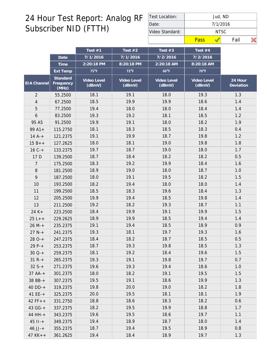| Test Location:  | Jud, ND  |       |      |  |  |  |  |  |
|-----------------|----------|-------|------|--|--|--|--|--|
| Date:           | 7/1/2016 |       |      |  |  |  |  |  |
| Video Standard: |          | NTSC. |      |  |  |  |  |  |
|                 | Pass     |       | Fail |  |  |  |  |  |

|                    |                                | Test $#1$             | Test $#2$             | Test $#3$             | Test $#4$             |                        |
|--------------------|--------------------------------|-----------------------|-----------------------|-----------------------|-----------------------|------------------------|
|                    | Date                           | 7/1/2016              | 7/1/2016              | 7/2/2016              | 7/2/2016              |                        |
|                    | Time                           | 2:20:18 PM            | 8:20:18 PM            | $2:20:18$ AM          | 8:20:18 AM            |                        |
|                    | <b>Ext Temp</b>                | $75^{\circ}$ F        | $72^{\circ}F$         | $66^{\circ}F$         | 70°F                  |                        |
| <b>EIA Channel</b> | Standard<br>Frequency<br>(MHz) | Video Level<br>(dBmV) | Video Level<br>(dBmV) | Video Level<br>(dBmV) | Video Level<br>(dBmV) | $24$ Hour<br>Deviation |
| $\overline{2}$     | 55.2500                        | 18.1                  | 19.1                  | 18.0                  | 19.3                  | 1.3                    |
| 4                  | 67.2500                        | 18.5                  | 19.9                  | 19.9                  | 18.6                  | 1.4                    |
| 5                  | 77.2500                        | 19.4                  | 18.0                  | 18.0                  | 18.4                  | 1.4                    |
| 6                  | 83.2500                        | 19.3                  | 19.2                  | 18.1                  | 18.5                  | 1.2                    |
| 95 A5              | 91.2500                        | 19.9                  | 19.1                  | 18.0                  | 18.2                  | 1.9                    |
| $99A1+$            | 115.2750                       | 18.1                  | 18.3                  | 18.5                  | 18.3                  | 0.4                    |
| $14A^{-+}$         | 121.2375                       | 19.1                  | 19.9                  | 18.7                  | 19.8                  | 1.2                    |
| $15B++$            | 127.2625                       | 18.0                  | 18.1                  | 19.0                  | 19.8                  | 1.8                    |
| $16C +$            | 133.2375                       | 19.7                  | 18.7                  | 19.0                  | 18.0                  | 1.7                    |
| 17 D               | 139.2500                       | 18.7                  | 18.4                  | 18.2                  | 18.2                  | 0.5                    |
| 7                  | 175.2500                       | 18.3                  | 19.2                  | 19.9                  | 18.4                  | 1.6                    |
| $8\,$              | 181.2500                       | 18.9                  | 19.0                  | 18.0                  | 18.7                  | 1.0                    |
| 9                  | 187.2500                       | 18.0                  | 19.1                  | 19.5                  | 18.2                  | 1.5                    |
| 10                 | 193.2500                       | 18.2                  | 19.4                  | 18.0                  | 18.0                  | 1.4                    |
| 11                 | 199.2500                       | 18.5                  | 18.3                  | 19.6                  | 18.4                  | 1.3                    |
| 12                 | 205.2500                       | 19.9                  | 19.4                  | 18.5                  | 19.8                  | 1.4                    |
| 13                 | 211.2500                       | 19.2                  | 18.2                  | 19.3                  | 18.7                  | 1.1                    |
| $24 K +$           | 223.2500                       | 18.4                  | 19.9                  | 19.1                  | 19.9                  | 1.5                    |
| $25 L++$           | 229.2625                       | 18.9                  | 19.9                  | 18.5                  | 19.4                  | 1.4                    |
| $26 M +$           | 235.2375                       | 19.1                  | 19.4                  | 18.5                  | 18.9                  | 0.9                    |
| $27 N +$           | 241.2375                       | 19.3                  | 18.1                  | 19.7                  | 19.3                  | 1.6                    |
| $280-+$            | 247.2375                       | 18.4                  | 18.2                  | 18.7                  | 18.5                  | 0.5                    |
| $29P-+$            | 253.2375                       | 18.7                  | 19.3                  | 19.8                  | 18.5                  | 1.3                    |
| $30Q-+$            | 259.2375                       | 18.1                  | 19.2                  | 18.4                  | 19.6                  | 1.5                    |
| $31 R +$           | 265.2375                       | 19.3                  | 19.1                  | 19.8                  | 19.7                  | 0.7                    |
| $32S+$             | 271.2375                       | 19.6                  | 19.3                  | 19.4                  | 18.6                  | 1.0                    |
| $37 AA++$          | 301.2375                       | 18.0                  | 18.2                  | 19.1                  | 19.5                  | 1.5                    |
| 38 BB-+            | 307.2375                       | 19.5                  | 19.1                  | 18.6                  | 19.9                  | 1.3                    |
| $40$ DD-+          | 319.2375                       | 19.8                  | 20.0                  | 19.0                  | 18.2                  | 1.8                    |
| 41 $EE-+$          | 325.2375                       | 20.0                  | 19.5                  | 18.1                  | 18.1                  | 1.9                    |
| $42 FF++$          | 331.2750                       | 18.8                  | 18.6                  | 18.3                  | 18.2                  | 0.6                    |
| 43 GG-+            | 337.2375                       | 18.2                  | 19.5                  | 19.9                  | 18.8                  | 1.7                    |
| 44 HH-+            | 343.2375                       | 19.6                  | 19.5                  | 18.6                  | 19.7                  | 1.1                    |
| $45$ $11 - +$      | 349.2375                       | 19.4                  | 18.9                  | 18.7                  | 18.0                  | 1.4                    |
| $46$ JJ-+          | 355.2375                       | 18.7                  | 19.4                  | 19.5                  | 18.9                  | 0.8                    |
| $47$ KK + +        | 361.2625                       | 19.4                  | 18.4                  | 18.9                  | 19.7                  | 1.3                    |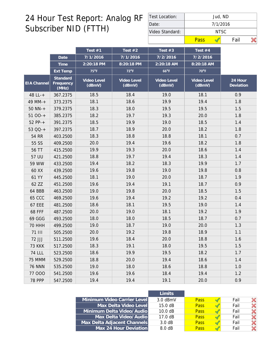| Test Location:  |      | Jud, ND  |      |  |  |  |  |  |  |
|-----------------|------|----------|------|--|--|--|--|--|--|
| Date:           |      | 7/1/2016 |      |  |  |  |  |  |  |
| Video Standard: |      | NTSC.    |      |  |  |  |  |  |  |
|                 | Pass |          | Fail |  |  |  |  |  |  |

|                    |                                | Test $#1$             | Test $#2$             | Test $#3$             | Test #4               |                      |
|--------------------|--------------------------------|-----------------------|-----------------------|-----------------------|-----------------------|----------------------|
|                    | Date                           | 7/1/2016              | 7/1/2016              | 7/2/2016              | 7/2/2016              |                      |
|                    | Time                           | 2:20:18 PM            | 8:20:18 PM            | 2:20:18 AM            | 8:20:18 AM            |                      |
|                    | Ext Temp                       | $75^{\circ}F$         | $72^{\circ}F$         | $66^{\circ}F$         | $70^{\circ}$ F        |                      |
| <b>EIA Channel</b> | Standard<br>Frequency<br>(MHz) | Video Level<br>(dBmV) | Video Level<br>(dBmV) | Video Level<br>(dBmV) | Video Level<br>(dBmV) | 24 Hour<br>Deviation |
| 48 LL-+            | 367.2375                       | 18.5                  | 18.4                  | 19.0                  | 18.1                  | 0.9                  |
| 49 MM-+            | 373.2375                       | 18.1                  | 18.6                  | 19.9                  | 19.4                  | 1.8                  |
| $50$ NN- $+$       | 379.2375                       | 18.3                  | 18.0                  | 19.5                  | 19.5                  | 1.5                  |
| $5100-+$           | 385.2375                       | 18.2                  | 19.7                  | 19.3                  | 20.0                  | 1.8                  |
| 52 PP-+            | 391.2375                       | 18.5                  | 19.9                  | 19.0                  | 18.5                  | 1.4                  |
| 53 QQ-+            | 397.2375                       | 18.7                  | 18.9                  | 20.0                  | 18.2                  | 1.8                  |
| 54 RR              | 403.2500                       | 18.3                  | 18.8                  | 18.8                  | 18.1                  | 0.7                  |
| 55 SS              | 409.2500                       | 20.0                  | 19.4                  | 19.6                  | 18.2                  | 1.8                  |
| 56 TT              | 415.2500                       | 19.9                  | 19.3                  | 20.0                  | 18.6                  | 1.4                  |
| 57 UU              | 421.2500                       | 18.8                  | 19.7                  | 19.4                  | 18.3                  | 1.4                  |
| 59 WW              | 433.2500                       | 19.4                  | 18.2                  | 18.3                  | 19.9                  | 1.7                  |
| 60 XX              | 439.2500                       | 19.6                  | 19.8                  | 19.0                  | 19.8                  | 0.8                  |
| 61 YY              | 445.2500                       | 18.1                  | 19.0                  | 20.0                  | 18.7                  | 1.9                  |
| 62 ZZ              | 451.2500                       | 19.6                  | 19.4                  | 19.1                  | 18.7                  | 0.9                  |
| 64 BBB             | 463.2500                       | 19.0                  | 19.8                  | 20.0                  | 18.5                  | 1.5                  |
| <b>65 CCC</b>      | 469.2500                       | 19.6                  | 19.4                  | 19.2                  | 19.2                  | 0.4                  |
| <b>67 EEE</b>      | 481.2500                       | 18.6                  | 18.1                  | 19.5                  | 19.0                  | 1.4                  |
| <b>68 FFF</b>      | 487.2500                       | 20.0                  | 19.0                  | 18.1                  | 19.2                  | 1.9                  |
| 69 GGG             | 493.2500                       | 18.0                  | 18.0                  | 18.5                  | 18.7                  | 0.7                  |
| <b>70 HHH</b>      | 499.2500                       | 19.0                  | 18.7                  | 19.0                  | 20.0                  | 1.3                  |
| <b>71 III</b>      | 505.2500                       | 20.0                  | 19.2                  | 19.8                  | 18.9                  | 1.1                  |
| 72 JJJ             | 511.2500                       | 19.6                  | 18.4                  | 20.0                  | 18.8                  | 1.6                  |
| <b>73 KKK</b>      | 517.2500                       | 18.3                  | 19.1                  | 18.0                  | 19.5                  | 1.5                  |
| <b>74 LLL</b>      | 523.2500                       | 18.6                  | 19.9                  | 19.5                  | 18.2                  | 1.7                  |
| 75 MMM             | 529.2500                       | 18.8                  | 20.0                  | 19.4                  | 18.6                  | 1.4                  |
| <b>76 NNN</b>      | 535.2500                       | 19.0                  | 18.0                  | 18.6                  | 18.8                  | 1.0                  |
| 77 000             | 541.2500                       | 19.6                  | 19.6                  | 18.4                  | 19.4                  | 1.2                  |
| <b>78 PPP</b>      | 547.2500                       | 19.4                  | 19.4                  | 19.1                  | 20.0                  | 0.9                  |

|                             | l imits.          |             |      |  |
|-----------------------------|-------------------|-------------|------|--|
| Minimum Video Carrier Level | $3.0$ dBmV        | <b>Pass</b> | Fail |  |
| Max Delta Video Level       | $15.0 \text{ dB}$ | <b>Pass</b> | Fail |  |
| Minimum Delta Video/Audio   | 10.0 dB           | <b>Pass</b> | Fail |  |
| Max Delta Video/Audio       | $17.0 \text{ dB}$ | <b>Pass</b> | Fail |  |
| Max Delta Adjacent Channels | 3.0 dB            | <b>Pass</b> | Fail |  |
| Max 24 Hour Deviation       | 8.0 dB            | <b>Pass</b> | Fail |  |
|                             |                   |             |      |  |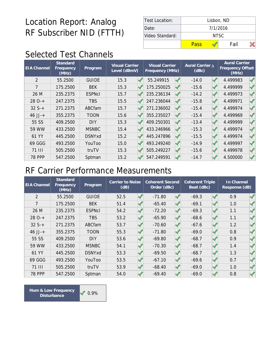| Test Location:  | Lisbon, ND |          |  |  |  |  |  |  |
|-----------------|------------|----------|--|--|--|--|--|--|
| Date:           |            | 7/1/2016 |  |  |  |  |  |  |
| Video Standard: |            | NTSC.    |  |  |  |  |  |  |
|                 | Pass       | Fail     |  |  |  |  |  |  |

# Selected Test Channels

| <b>EIA Channel</b> | Standard<br>Frequency<br>(MHz) | Program       | Visual Carrier<br>Level (dBmV) | <b>Visual Carrier</b><br>Frequency (MHz) | Aural Carrier A<br>(dBc) | <b>Aural Carrier</b><br>Frequency Offset<br>(MHz) |  |
|--------------------|--------------------------------|---------------|--------------------------------|------------------------------------------|--------------------------|---------------------------------------------------|--|
| $\overline{2}$     | 55.2500                        | <b>GUIDE</b>  | 15.3                           | 55.249915                                | $-14.0$                  | 4.499983                                          |  |
| 7                  | 175.2500                       | <b>BEK</b>    | 15.3                           | 175.250025                               | $-15.6$                  | 4.499999                                          |  |
| 26 M               | 235.2375                       | <b>ESPNcI</b> | 15.7                           | 235.236134                               | $-14.2$                  | 4.499973                                          |  |
| $280-+$            | 247.2375                       | <b>TBS</b>    | 15.5                           | 247.236044                               | $-15.8$                  | 4.499971                                          |  |
| $32S+$             | 271.2375                       | ABCfam        | 15.7                           | 271.236002                               | $-15.4$                  | 4.499974                                          |  |
| $46$ JJ-+          | 355.2375                       | <b>TOON</b>   | 15.6                           | 355.235027                               | $-15.4$                  | 4.499969                                          |  |
| 55 SS              | 409.2500                       | <b>DIY</b>    | 15.3                           | 409.250301                               | $-13.4$                  | 4.499999                                          |  |
| 59 WW              | 433.2500                       | <b>MSNBC</b>  | 15.4                           | 433.246966                               | $-15.3$                  | 4.499974                                          |  |
| 61 YY              | 445.2500                       | <b>DSNYxd</b> | 15.2                           | 445.247896                               | $-15.5$                  | 4.499974                                          |  |
| 69 GGG             | 493.2500                       | YouToo        | 15.0                           | 493.249240                               | $-14.9$                  | 4.499997                                          |  |
| <b>71 III</b>      | 505.2500                       | truTV         | 15.3                           | 505.249227                               | $-15.6$                  | 4.499978                                          |  |
| <b>78 PPP</b>      | 547.2500                       | Sptman        | 15.2                           | 547.249591                               | $-14.7$                  | 4.500000                                          |  |

#### RF Carrier Performance Measurements

| <b>EIA Channel</b> | Standard<br>Frequency<br>(MHz) | Program       | Carrier to Noise<br>(dB) | <b>Coherent Second</b><br>Order (dBc) | <b>Coherent Triple</b><br>Beat (dBc) | In Channel<br>Response (dB) |  |
|--------------------|--------------------------------|---------------|--------------------------|---------------------------------------|--------------------------------------|-----------------------------|--|
| 2                  | 55.2500                        | <b>GUIDE</b>  | 52.5                     | $-71.80$                              | $-69.3$                              | 0.9                         |  |
| $\overline{7}$     | 175.2500                       | <b>BEK</b>    | 51.4                     | $-65.40$                              | $-69.1$                              | 1.0                         |  |
| 26 M               | 235.2375                       | <b>ESPNcI</b> | 54.2                     | $-72.20$                              | $-69.3$                              | 1.1                         |  |
| $280-+$            | 247.2375                       | <b>TBS</b>    | 53.2                     | $-65.90$                              | $-68.6$                              | 1.1                         |  |
| $32S+$             | 271.2375                       | ABCfam        | 53.7                     | $-70.60$                              | $-67.6$                              | 1.2                         |  |
| $46$ JJ-+          | 355.2375                       | <b>TOON</b>   | 55.3                     | $-71.80$                              | $-69.0$                              | 0.8                         |  |
| 55 SS              | 409.2500                       | <b>DIY</b>    | 53.6                     | $-69.80$                              | $-68.7$                              | 0.9                         |  |
| 59 WW              | 433.2500                       | <b>MSNBC</b>  | 54.1                     | $-70.30$                              | $-68.7$                              | 1.4                         |  |
| 61 YY              | 445.2500                       | <b>DSNYxd</b> | 53.3                     | $-69.50$                              | $-68.7$                              | 1.3                         |  |
| 69 GGG             | 493.2500                       | YouToo        | 53.5                     | $-67.10$                              | $-69.6$                              | 0.7                         |  |
| 71 III             | 505.2500                       | truTV         | 53.9                     | $-68.40$                              | $-69.0$                              | 1.0                         |  |
| <b>78 PPP</b>      | 547.2500                       | Sptman        | 54.0                     | $-69.40$                              | $-69.0$                              | 0.8                         |  |

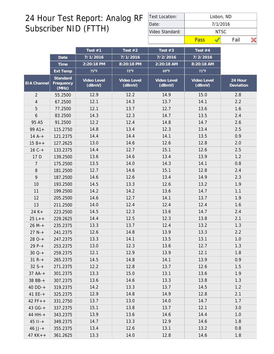| Test Location:  |                   | Lisbon, ND |      |  |  |  |  |  |  |
|-----------------|-------------------|------------|------|--|--|--|--|--|--|
| Date:           | 7/1/2016<br>NTSC. |            |      |  |  |  |  |  |  |
| Video Standard: |                   |            |      |  |  |  |  |  |  |
|                 | Pass              |            | Fail |  |  |  |  |  |  |

|                |                                | Test $#1$             | Test $#2$             | Test $#3$             | Test #4               |                      |
|----------------|--------------------------------|-----------------------|-----------------------|-----------------------|-----------------------|----------------------|
|                | Date                           | 7/1/2016              | 7/1/2016              | 7/2/2016              | 7/2/2016              |                      |
|                | Time                           | 2:20:18 PM            | 8:20:18 PM            | 2:20:18 AM            | 8:20:18 AM            |                      |
|                | Ext Temp                       | $75^{\circ}F$         | $72^{\circ}F$         | $69^{\circ}F$         | $71^{\circ}F$         |                      |
| EIA Channel    | Standard<br>Frequency<br>(MHz) | Video Level<br>(dBmV) | Video Level<br>(dBmV) | Video Level<br>(dBmV) | Video Level<br>(dBmV) | 24 Hour<br>Deviation |
| $\overline{2}$ | 55.2500                        | 12.9                  | 12.2                  | 14.9                  | 15.0                  | 2.8                  |
| $\overline{4}$ | 67.2500                        | 12.1                  | 14.3                  | 13.7                  | 14.1                  | 2.2                  |
| 5              | 77.2500                        | 12.1                  | 13.7                  | 12.7                  | 13.6                  | 1.6                  |
| 6              | 83.2500                        | 14.3                  | 12.3                  | 14.7                  | 13.5                  | 2.4                  |
| 95 A5          | 91.2500                        | 12.2                  | 12.4                  | 14.8                  | 14.7                  | 2.6                  |
| $99A1+$        | 115.2750                       | 14.8                  | 13.4                  | 12.3                  | 13.4                  | 2.5                  |
| $14A^{-+}$     | 121.2375                       | 14.4                  | 14.4                  | 14.1                  | 13.5                  | 0.9                  |
| $15B++$        | 127.2625                       | 13.0                  | 14.6                  | 12.6                  | 12.8                  | 2.0                  |
| $16C +$        | 133.2375                       | 14.4                  | 12.7                  | 15.1                  | 12.6                  | 2.5                  |
| 17 D           | 139.2500                       | 13.6                  | 14.6                  | 13.4                  | 13.9                  | 1.2                  |
| 7              | 175.2500                       | 13.5                  | 14.0                  | 14.3                  | 14.1                  | 0.8                  |
| $8\,$          | 181.2500                       | 12.7                  | 14.6                  | 15.1                  | 12.8                  | 2.4                  |
| 9              | 187.2500                       | 14.6                  | 12.6                  | 13.4                  | 14.9                  | 2.3                  |
| 10             | 193.2500                       | 14.5                  | 13.3                  | 12.6                  | 13.2                  | 1.9                  |
| 11             | 199.2500                       | 14.2                  | 14.2                  | 13.6                  | 14.7                  | 1.1                  |
| 12             | 205.2500                       | 14.6                  | 12.7                  | 14.1                  | 13.7                  | 1.9                  |
| 13             | 211.2500                       | 14.0                  | 12.4                  | 12.4                  | 12.4                  | 1.6                  |
| $24 K +$       | 223.2500                       | 14.5                  | 12.3                  | 13.6                  | 14.7                  | 2.4                  |
| $25L++$        | 229.2625                       | 14.4                  | 12.5                  | 12.3                  | 13.8                  | 2.1                  |
| $26 M +$       | 235.2375                       | 13.3                  | 13.7                  | 12.4                  | 13.2                  | 1.3                  |
| $27 N +$       | 241.2375                       | 12.6                  | 14.8                  | 13.9                  | 13.3                  | 2.2                  |
| $280-+$        | 247.2375                       | 13.3                  | 14.1                  | 13.5                  | 13.1                  | 1.0                  |
| $29P-+$        | 253.2375                       | 13.0                  | 12.3                  | 13.6                  | 12.7                  | 1.3                  |
| $30Q-+$        | 259.2375                       | 12.1                  | 12.9                  | 13.9                  | 12.1                  | 1.8                  |
| $31 R +$       | 265.2375                       | 14.5                  | 14.8                  | 14.1                  | 13.9                  | 0.9                  |
| $32S++$        | 271.2375                       | 12.2                  | 12.8                  | 13.7                  | 12.6                  | 1.5                  |
| $37 AA++$      | 301.2375                       | 13.3                  | 15.0                  | 13.1                  | 13.6                  | 1.9                  |
| 38 BB-+        | 307.2375                       | 13.6                  | 14.6                  | 13.3                  | 13.8                  | 1.3                  |
| $40$ DD-+      | 319.2375                       | 14.2                  | 13.3                  | 13.7                  | 14.5                  | 1.2                  |
| 41 $EE-+$      | 325.2375                       | 12.9                  | 14.8                  | 14.9                  | 12.8                  | 2.1                  |
| $42 FF++$      | 331.2750                       | 13.7                  | 13.0                  | 14.0                  | 14.7                  | 1.7                  |
| 43 GG-+        | 337.2375                       | 15.1                  | 13.8                  | 13.7                  | 12.1                  | 3.0                  |
| 44 HH-+        | 343.2375                       | 13.9                  | 13.6                  | 14.6                  | 14.4                  | 1.0                  |
| $45$ $11 - +$  | 349.2375                       | 14.7                  | 13.3                  | 12.9                  | 14.6                  | 1.8                  |
| $46$ JJ-+      | 355.2375                       | 13.4                  | 12.6                  | 13.1                  | 13.2                  | 0.8                  |
| $47$ KK + +    | 361.2625                       | 13.3                  | 14.0                  | 12.8                  | 14.6                  | 1.8                  |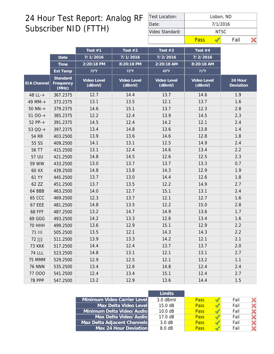| Test Location:  | Lisbon, ND |          |      |  |  |  |  |  |  |
|-----------------|------------|----------|------|--|--|--|--|--|--|
| Date:           |            | 7/1/2016 |      |  |  |  |  |  |  |
| Video Standard: |            | NTSC.    |      |  |  |  |  |  |  |
|                 | Pass       |          | Fail |  |  |  |  |  |  |

|                    |                                | Test $#1$             | Test $#2$             | Test $#3$             | Test #4               |                      |
|--------------------|--------------------------------|-----------------------|-----------------------|-----------------------|-----------------------|----------------------|
|                    | Date                           | 7/1/2016              | 7/1/2016              | 7/2/2016              | 7/2/2016              |                      |
|                    | Time                           | 2:20:18 PM            | 8:20:18 PM            | 2:20:18 AM            | 8:20:18 AM            |                      |
|                    | Ext Temp                       | $75^{\circ}$ F        | $72^{\circ}F$         | $69^{\circ}F$         | $71^{\circ}$ F        |                      |
| <b>EIA Channel</b> | Standard<br>Frequency<br>(MHz) | Video Level<br>(dBmV) | Video Level<br>(dBmV) | Video Level<br>(dBmV) | Video Level<br>(dBmV) | 24 Hour<br>Deviation |
| 48 LL-+            | 367.2375                       | 12.7                  | 14.4                  | 13.7                  | 14.6                  | 1.9                  |
| 49 MM-+            | 373.2375                       | 13.1                  | 13.5                  | 12.1                  | 13.7                  | 1.6                  |
| $50$ NN- $+$       | 379.2375                       | 14.6                  | 15.1                  | 13.7                  | 12.3                  | 2.8                  |
| $5100-+$           | 385.2375                       | 12.2                  | 12.4                  | 13.9                  | 14.5                  | 2.3                  |
| 52 PP-+            | 391.2375                       | 14.5                  | 12.4                  | 14.2                  | 12.1                  | 2.4                  |
| 53 QQ-+            | 397.2375                       | 13.4                  | 14.8                  | 13.6                  | 13.8                  | 1.4                  |
| 54 RR              | 403.2500                       | 13.9                  | 13.6                  | 14.6                  | 12.8                  | 1.8                  |
| 55 SS              | 409.2500                       | 14.1                  | 13.1                  | 12.5                  | 14.9                  | 2.4                  |
| 56 TT              | 415.2500                       | 13.1                  | 12.4                  | 14.6                  | 13.4                  | 2.2                  |
| 57 UU              | 421.2500                       | 14.8                  | 14.5                  | 12.6                  | 12.5                  | 2.3                  |
| 59 WW              | 433.2500                       | 13.0                  | 13.7                  | 13.7                  | 13.3                  | 0.7                  |
| 60 XX              | 439.2500                       | 14.8                  | 13.8                  | 14.3                  | 12.9                  | 1.9                  |
| 61 YY              | 445.2500                       | 13.7                  | 13.0                  | 14.4                  | 12.6                  | 1.8                  |
| 62 ZZ              | 451.2500                       | 13.7                  | 13.5                  | 12.2                  | 14.9                  | 2.7                  |
| 64 BBB             | 463.2500                       | 14.0                  | 12.7                  | 15.1                  | 13.1                  | 2.4                  |
| <b>65 CCC</b>      | 469.2500                       | 12.3                  | 13.7                  | 12.1                  | 12.7                  | 1.6                  |
| <b>67 EEE</b>      | 481.2500                       | 14.8                  | 13.5                  | 12.2                  | 15.0                  | 2.8                  |
| <b>68 FFF</b>      | 487.2500                       | 13.2                  | 14.7                  | 14.9                  | 13.6                  | 1.7                  |
| 69 GGG             | 493.2500                       | 14.2                  | 13.3                  | 12.6                  | 13.4                  | 1.6                  |
| <b>70 HHH</b>      | 499.2500                       | 13.6                  | 12.9                  | 15.1                  | 12.9                  | 2.2                  |
| <b>71 III</b>      | 505.2500                       | 13.5                  | 12.1                  | 14.3                  | 14.3                  | 2.2                  |
| 72 JJJ             | 511.2500                       | 13.9                  | 13.3                  | 14.2                  | 12.1                  | 2.1                  |
| <b>73 KKK</b>      | 517.2500                       | 14.4                  | 12.4                  | 13.7                  | 13.7                  | 2.0                  |
| <b>74 LLL</b>      | 523.2500                       | 14.8                  | 13.1                  | 12.1                  | 13.1                  | 2.7                  |
| 75 MMM             | 529.2500                       | 12.9                  | 12.5                  | 12.1                  | 13.2                  | 1.1                  |
| <b>76 NNN</b>      | 535.2500                       | 13.4                  | 12.6                  | 14.8                  | 12.4                  | 2.4                  |
| 77 000             | 541.2500                       | 12.4                  | 13.4                  | 15.1                  | 12.4                  | 2.7                  |
| <b>78 PPP</b>      | 547.2500                       | 13.2                  | 12.9                  | 13.6                  | 14.4                  | 1.5                  |

|                             | I imits           |             |      |  |
|-----------------------------|-------------------|-------------|------|--|
| Minimum Video Carrier Level | $3.0$ dBmV        | <b>Pass</b> | Fail |  |
| Max Delta Video Level       | $15.0 \text{ dB}$ | <b>Pass</b> | Fail |  |
| Minimum Delta Video/Audio   | 10.0 dB           | <b>Pass</b> | Fail |  |
| Max Delta Video/Audio       | $17.0 \text{ dB}$ | <b>Pass</b> | Fail |  |
| Max Delta Adjacent Channels | 3.0 dB            | <b>Pass</b> | Fail |  |
| Max 24 Hour Deviation       | 8.0 dB            | <b>Pass</b> | Fail |  |
|                             |                   |             |      |  |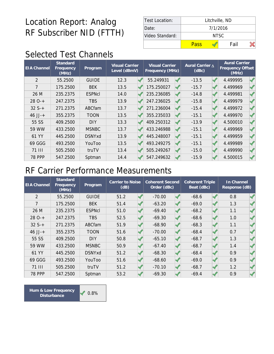| Test Location:  | Litchville, ND |      |  |  |  |  |
|-----------------|----------------|------|--|--|--|--|
| Date:           | 7/1/2016       |      |  |  |  |  |
| Video Standard: | NTSC.          |      |  |  |  |  |
|                 | Pass           | Fail |  |  |  |  |

# Selected Test Channels

| <b>EIA</b> Channel | Standard<br>Frequency<br>(MHz) | Program       | <b>Visual Carrier</b><br>Level (dBmV) |  | <b>Visual Carrier</b><br>Frequency (MHz) |  |         |          |  |  |  |  | Aural Carrier A<br>(dBc) | <b>Aural Carrier</b><br>Frequency Offset<br>(MHz) |  |
|--------------------|--------------------------------|---------------|---------------------------------------|--|------------------------------------------|--|---------|----------|--|--|--|--|--------------------------|---------------------------------------------------|--|
| $\mathcal{P}$      | 55.2500                        | <b>GUIDE</b>  | 12.3                                  |  | 55.249931                                |  | $-13.5$ | 4.499995 |  |  |  |  |                          |                                                   |  |
| 7                  | 175.2500                       | <b>BEK</b>    | 13.5                                  |  | 175.250027                               |  | $-15.7$ | 4.499969 |  |  |  |  |                          |                                                   |  |
| 26 M               | 235.2375                       | <b>ESPNcI</b> | 14.0                                  |  | 235.236085                               |  | $-14.8$ | 4.499981 |  |  |  |  |                          |                                                   |  |
| $280-+$            | 247.2375                       | <b>TBS</b>    | 13.9                                  |  | 247.236025                               |  | $-15.8$ | 4.499979 |  |  |  |  |                          |                                                   |  |
| $32S+$             | 271.2375                       | ABCfam        | 13.7                                  |  | 271.236004                               |  | $-15.4$ | 4.499972 |  |  |  |  |                          |                                                   |  |
| $46$ JJ-+          | 355.2375                       | TOON          | 13.5                                  |  | 355.235033                               |  | $-15.1$ | 4.499970 |  |  |  |  |                          |                                                   |  |
| 55 SS              | 409.2500                       | <b>DIY</b>    | 13.3                                  |  | 409.250312                               |  | $-13.9$ | 4.500010 |  |  |  |  |                          |                                                   |  |
| 59 WW              | 433.2500                       | <b>MSNBC</b>  | 13.7                                  |  | 433.246988                               |  | $-15.1$ | 4.499969 |  |  |  |  |                          |                                                   |  |
| 61 YY              | 445.2500                       | <b>DSNYxd</b> | 13.9                                  |  | 445.248007                               |  | $-15.1$ | 4.499959 |  |  |  |  |                          |                                                   |  |
| 69 GGG             | 493.2500                       | YouToo        | 13.5                                  |  | 493.249275                               |  | $-15.1$ | 4.499989 |  |  |  |  |                          |                                                   |  |
| 71 III             | 505.2500                       | truTV         | 13.4                                  |  | 505.249267                               |  | $-15.0$ | 4.499990 |  |  |  |  |                          |                                                   |  |
| <b>78 PPP</b>      | 547.2500                       | Sptman        | 14.4                                  |  | 547.249632                               |  | $-15.9$ | 4.500015 |  |  |  |  |                          |                                                   |  |

### RF Carrier Performance Measurements

| <b>EIA Channel</b> | Standard<br>Frequency<br>(MHz) | Program       | Carrier to Noise<br>(dB) |  | <b>Coherent Second</b><br>Order (dBc) |  | <b>Coherent Triple</b><br>Beat (dBc) |  | In Channel<br>Response (dB) |  |
|--------------------|--------------------------------|---------------|--------------------------|--|---------------------------------------|--|--------------------------------------|--|-----------------------------|--|
| $\overline{2}$     | 55.2500                        | <b>GUIDE</b>  | 51.2                     |  | $-70.00$                              |  | $-68.6$                              |  | 0.8                         |  |
| 7                  | 175.2500                       | <b>BEK</b>    | 51.4                     |  | $-63.20$                              |  | $-69.0$                              |  | 1.3                         |  |
| 26 M               | 235.2375                       | <b>ESPNcI</b> | 51.0                     |  | $-69.40$                              |  | $-68.2$                              |  | 1.1                         |  |
| $280-+$            | 247.2375                       | <b>TBS</b>    | 52.5                     |  | $-69.30$                              |  | $-68.6$                              |  | 1.0                         |  |
| $32S+$             | 271.2375                       | ABCfam        | 51.9                     |  | $-68.90$                              |  | $-68.3$                              |  | 1.1                         |  |
| $46$ JJ-+          | 355.2375                       | <b>TOON</b>   | 51.6                     |  | $-70.00$                              |  | $-68.4$                              |  | 0.7                         |  |
| 55 SS              | 409.2500                       | <b>DIY</b>    | 50.8                     |  | $-65.10$                              |  | $-68.7$                              |  | 1.3                         |  |
| 59 WW              | 433.2500                       | <b>MSNBC</b>  | 50.9                     |  | $-67.40$                              |  | $-68.7$                              |  | 1.4                         |  |
| 61 YY              | 445.2500                       | <b>DSNYxd</b> | 51.2                     |  | $-68.30$                              |  | $-68.4$                              |  | 0.9                         |  |
| 69 GGG             | 493.2500                       | YouToo        | 51.6                     |  | $-68.60$                              |  | $-69.0$                              |  | 0.9                         |  |
| 71 III             | 505.2500                       | truTV         | 51.2                     |  | $-70.10$                              |  | $-68.7$                              |  | 1.2                         |  |
| <b>78 PPP</b>      | 547.2500                       | Sptman        | 53.2                     |  | $-69.30$                              |  | $-69.4$                              |  | 0.9                         |  |

Hum & Low Frequency **1999 1999 Disturbance**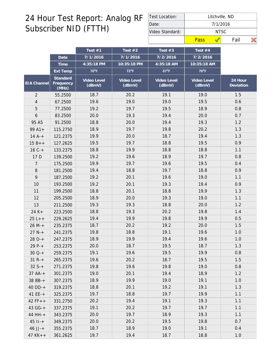| Test Location:  | Litchville, ND |      |  |  |  |  |  |
|-----------------|----------------|------|--|--|--|--|--|
| Date:           | 7/1/2016       |      |  |  |  |  |  |
| Video Standard: | NTSC.          |      |  |  |  |  |  |
|                 | Pass           | Fail |  |  |  |  |  |

|                |                                | Test #1               | Test $#2$             | Test $#3$             | Test $#4$             |                        |
|----------------|--------------------------------|-----------------------|-----------------------|-----------------------|-----------------------|------------------------|
|                | Date                           | 7/1/2016              | 7/1/2016              | 7/2/2016              | 7/2/2016              |                        |
|                | Time                           | 4:35:18 PM            | 10:35:18 PM           | 4:35:18 AM            | 10:35:18 AM           |                        |
|                | Ext Temp                       | $70^{\circ}$ F        | $72^{\circ}F$         | $67^{\circ}F$         | 70°F                  |                        |
| EIA Channel    | Standard<br>Frequency<br>(MHz) | Video Level<br>(dBmV) | Video Level<br>(dBmV) | Video Level<br>(dBmV) | Video Level<br>(dBmV) | $24$ Hour<br>Deviation |
| $\overline{2}$ | 55.2500                        | 18.7                  | 20.2                  | 19.1                  | 19.0                  | 1.5                    |
| $\overline{4}$ | 67.2500                        | 19.6                  | 19.0                  | 19.0                  | 19.5                  | 0.6                    |
| 5              | 77.2500                        | 19.2                  | 19.7                  | 19.5                  | 18.9                  | 0.8                    |
| 6              | 83.2500                        | 20.0                  | 19.3                  | 19.4                  | 20.0                  | 0.7                    |
| 95 A5          | 91.2500                        | 18.8                  | 20.0                  | 19.4                  | 19.3                  | 1.2                    |
| $99A1+$        | 115.2750                       | 18.9                  | 19.7                  | 19.8                  | 20.2                  | 1.3                    |
| $14A^{-+}$     | 121.2375                       | 19.9                  | 20.0                  | 18.7                  | 19.4                  | 1.3                    |
| $15B++$        | 127.2625                       | 19.5                  | 19.7                  | 18.8                  | 19.5                  | 0.9                    |
| $16C +$        | 133.2375                       | 18.8                  | 19.9                  | 18.8                  | 18.8                  | 1.1                    |
| 17 D           | 139.2500                       | 19.2                  | 19.6                  | 18.9                  | 19.7                  | 0.8                    |
| 7              | 175.2500                       | 19.9                  | 19.7                  | 19.6                  | 19.5                  | 0.4                    |
| $8\,$          | 181.2500                       | 19.4                  | 18.8                  | 19.7                  | 18.8                  | 0.9                    |
| 9              | 187.2500                       | 19.2                  | 20.1                  | 19.6                  | 19.0                  | 1.1                    |
| 10             | 193.2500                       | 19.2                  | 20.1                  | 19.3                  | 19.4                  | 0.9                    |
| 11             | 199.2500                       | 18.8                  | 20.1                  | 18.8                  | 19.9                  | 1.3                    |
| 12             | 205.2500                       | 18.9                  | 20.0                  | 19.3                  | 19.0                  | 1.1                    |
| 13             | 211.2500                       | 19.3                  | 19.3                  | 18.8                  | 20.0                  | 1.2                    |
| $24 K +$       | 223.2500                       | 18.8                  | 19.3                  | 20.2                  | 19.8                  | 1.4                    |
| $25 L++$       | 229.2625                       | 19.4                  | 19.9                  | 19.8                  | 19.9                  | 0.5                    |
| $26 M +$       | 235.2375                       | 18.7                  | 20.2                  | 19.2                  | 20.0                  | 1.5                    |
| $27 N +$       | 241.2375                       | 19.8                  | 18.8                  | 19.1                  | 19.6                  | 1.0                    |
| $280-+$        | 247.2375                       | 18.9                  | 19.9                  | 19.4                  | 19.6                  | 1.0                    |
| $29P-+$        | 253.2375                       | 20.0                  | 18.7                  | 19.5                  | 18.7                  | 1.3                    |
| $30Q-+$        | 259.2375                       | 19.1                  | 19.6                  | 19.5                  | 19.9                  | 0.8                    |
| $31 R +$       | 265.2375                       | 19.6                  | 20.2                  | 18.7                  | 19.5                  | 1.5                    |
| $32S++$        | 271.2375                       | 19.8                  | 19.6                  | 19.8                  | 19.0                  | 0.8                    |
| $37 AA+$       | 301.2375                       | 19.0                  | 20.1                  | 19.4                  | 18.9                  | 1.2                    |
| 38 BB-+        | 307.2375                       | 18.9                  | 19.9                  | 19.0                  | 19.1                  | 1.0                    |
| $40$ DD-+      | 319.2375                       | 18.8                  | 20.1                  | 19.2                  | 19.1                  | 1.3                    |
| 41 $EE - +$    | 325.2375                       | 19.7                  | 18.8                  | 19.7                  | 19.9                  | 1.1                    |
| $42 FF++$      | 331.2750                       | 20.2                  | 19.4                  | 19.1                  | 19.3                  | 1.1                    |
| $43 G - +$     | 337.2375                       | 19.1                  | 20.2                  | 19.7                  | 19.7                  | 1.1                    |
| 44 HH-+        | 343.2375                       | 20.0                  | 19.7                  | 18.9                  | 19.3                  | 1.1                    |
| $45$ $11 - +$  | 349.2375                       | 20.0                  | 20.2                  | 19.5                  | 19.8                  | 0.7                    |
| $46$ JJ-+      | 355.2375                       | 18.7                  | 18.9                  | 19.0                  | 19.1                  | 0.4                    |
| $47$ KK + +    | 361.2625                       | 19.7                  | 19.4                  | 18.7                  | 18.8                  | $1.0\,$                |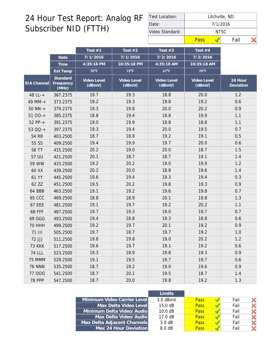| Test Location:  | Litchville, ND |      |  |  |  |  |  |
|-----------------|----------------|------|--|--|--|--|--|
| Date:           | 7/1/2016       |      |  |  |  |  |  |
| Video Standard: | NTSC.          |      |  |  |  |  |  |
|                 | Pass           | Fail |  |  |  |  |  |

|                    |                                | Test #1               | Test $#2$             | Test $#3$             | Test #4               |                      |
|--------------------|--------------------------------|-----------------------|-----------------------|-----------------------|-----------------------|----------------------|
|                    | Date                           | 7/1/2016              | 7/1/2016              | 7/2/2016              | 7/2/2016              |                      |
|                    | Time                           | 4:35:18 PM            | 10:35:18 PM           | 4:35:18 AM            | 10:35:18 AM           |                      |
|                    | Ext Temp                       | 70°F                  | $72^{\circ}F$         | $67^{\circ}F$         | 70°F                  |                      |
| <b>EIA</b> Channel | Standard<br>Frequency<br>(MHz) | Video Level<br>(dBmV) | Video Level<br>(dBmV) | Video Level<br>(dBmV) | Video Level<br>(dBmV) | 24 Hour<br>Deviation |
| 48 LL-+            | 367.2375                       | 19.7                  | 19.3                  | 18.8                  | 20.0                  | 1.2                  |
| 49 MM-+            | 373.2375                       | 19.2                  | 19.3                  | 19.8                  | 19.2                  | 0.6                  |
| $50$ NN- $+$       | 379.2375                       | 19.3                  | 19.8                  | 20.0                  | 20.2                  | 0.9                  |
| $5100-+$           | 385.2375                       | 18.8                  | 19.4                  | 19.8                  | 19.9                  | 1.1                  |
| $52 PP-+$          | 391.2375                       | 19.0                  | 19.9                  | 19.8                  | 18.8                  | 1.1                  |
| 53 QQ-+            | 397.2375                       | 19.3                  | 19.4                  | 20.0                  | 19.5                  | 0.7                  |
| 54 RR              | 403.2500                       | 18.7                  | 18.8                  | 19.2                  | 19.1                  | 0.5                  |
| 55 SS              | 409.2500                       | 19.4                  | 19.9                  | 19.7                  | 20.0                  | 0.6                  |
| 56 TT              | 415.2500                       | 20.2                  | 19.0                  | 20.0                  | 18.7                  | 1.5                  |
| 57 UU              | 421.2500                       | 20.1                  | 18.7                  | 18.7                  | 19.1                  | 1.4                  |
| 59 WW              | 433.2500                       | 19.2                  | 20.2                  | 19.0                  | 19.9                  | 1.2                  |
| 60 XX              | 439.2500                       | 20.2                  | 20.0                  | 18.8                  | 19.6                  | 1.4                  |
| 61 YY              | 445.2500                       | 19.6                  | 19.4                  | 19.3                  | 19.4                  | 0.3                  |
| 62 ZZ              | 451.2500                       | 19.5                  | 20.2                  | 19.8                  | 19.3                  | 0.9                  |
| 64 BBB             | 463.2500                       | 19.1                  | 19.2                  | 19.6                  | 19.8                  | 0.7                  |
| <b>65 CCC</b>      | 469.2500                       | 18.8                  | 18.9                  | 20.1                  | 19.8                  | 1.3                  |
| <b>67 EEE</b>      | 481.2500                       | 19.1                  | 19.7                  | 19.2                  | 20.2                  | 1.1                  |
| <b>68 FFF</b>      | 487.2500                       | 19.7                  | 19.3                  | 19.0                  | 19.7                  | 0.7                  |
| 69 GGG             | 493.2500                       | 19.4                  | 18.8                  | 19.3                  | 18.8                  | 0.6                  |
| <b>70 HHH</b>      | 499.2500                       | 19.2                  | 19.7                  | 20.1                  | 19.2                  | 0.9                  |
| 71 III             | 505.2500                       | 19.7                  | 18.7                  | 19.7                  | 19.2                  | 1.0                  |
| 72 JJJ             | 511.2500                       | 19.8                  | 19.8                  | 19.0                  | 20.2                  | 1.2                  |
| <b>73 KKK</b>      | 517.2500                       | 19.6                  | 19.7                  | 19.1                  | 19.2                  | 0.6                  |
| <b>74 LLL</b>      | 523.2500                       | 19.3                  | 18.9                  | 19.8                  | 19.3                  | 0.9                  |
| 75 MMM             | 529.2500                       | 19.1                  | 19.5                  | 19.7                  | 19.7                  | 0.6                  |
| <b>76 NNN</b>      | 535.2500                       | 18.7                  | 19.2                  | 19.0                  | 19.6                  | 0.9                  |
| 77 000             | 541.2500                       | 18.7                  | 20.1                  | 19.5                  | 18.7                  | 1.4                  |
| <b>78 PPP</b>      | 547.2500                       | 18.7                  | 20.0                  | 19.8                  | 19.2                  | 1.3                  |

|                             | I imits           |             |      |  |
|-----------------------------|-------------------|-------------|------|--|
| Minimum Video Carrier Level | $3.0$ dBmV        | <b>Pass</b> | Fail |  |
| Max Delta Video Level       | $15.0 \text{ dB}$ | <b>Pass</b> | Fail |  |
| Minimum Delta Video/Audio   | 10.0 dB           | <b>Pass</b> | Fail |  |
| Max Delta Video/Audio       | $17.0 \text{ dB}$ | <b>Pass</b> | Fail |  |
| Max Delta Adjacent Channels | 3.0 dB            | <b>Pass</b> | Fail |  |
| Max 24 Hour Deviation       | 8.0 dB            | <b>Pass</b> | Fail |  |
|                             |                   |             |      |  |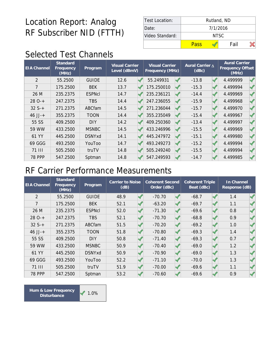| Test Location:  | Rutland, ND |      |  |  |  |  |  |
|-----------------|-------------|------|--|--|--|--|--|
| Date:           | 7/1/2016    |      |  |  |  |  |  |
| Video Standard: | NTSC.       |      |  |  |  |  |  |
|                 | Pass        | Fail |  |  |  |  |  |

# Selected Test Channels

| <b>EIA Channel</b> | Standard<br>Frequency<br>(MHz) | Program       | <b>Visual Carrier</b><br>Level (dBmV) | <b>Visual Carrier</b><br>Frequency (MHz) | Aural Carrier A<br>(dBc) | <b>Aural Carrier</b><br>Frequency Offset<br>(MHz) |
|--------------------|--------------------------------|---------------|---------------------------------------|------------------------------------------|--------------------------|---------------------------------------------------|
| $\overline{2}$     | 55.2500                        | <b>GUIDE</b>  | 12.6                                  | 55.249931                                | $-13.8$                  | 4.499999                                          |
| 7                  | 175.2500                       | <b>BEK</b>    | 13.7                                  | 175.250010                               | $-15.3$                  | 4.499994                                          |
| 26 M               | 235.2375                       | <b>ESPNcI</b> | 14.7                                  | 235.236121                               | $-14.4$                  | 4.499969                                          |
| $280-+$            | 247.2375                       | <b>TBS</b>    | 14.4                                  | 247.236055                               | $-15.9$                  | 4.499968                                          |
| $32S+$             | 271.2375                       | ABCfam        | 14.5                                  | 271.236044                               | $-15.7$                  | 4.499970                                          |
| $46$ JJ-+          | 355.2375                       | <b>TOON</b>   | 14.4                                  | 355.235049                               | $-15.4$                  | 4.499967                                          |
| 55 SS              | 409.2500                       | <b>DIY</b>    | 14.2                                  | 409.250360                               | $-13.4$                  | 4.499997                                          |
| 59 WW              | 433.2500                       | <b>MSNBC</b>  | 14.5                                  | 433.246996                               | $-15.5$                  | 4.499969                                          |
| 61 YY              | 445.2500                       | <b>DSNYxd</b> | 14.1                                  | 445.247972                               | $-15.1$                  | 4.499980                                          |
| 69 GGG             | 493.2500                       | YouToo        | 14.7                                  | 493.249273                               | $-15.2$                  | 4.499994                                          |
| <b>71 III</b>      | 505.2500                       | truTV         | 14.8                                  | 505.249240                               | $-15.5$                  | 4.499994                                          |
| <b>78 PPP</b>      | 547.2500                       | Sptman        | 14.8                                  | 547.249593                               | $-14.7$                  | 4.499985                                          |

#### RF Carrier Performance Measurements

| <b>EIA Channel</b> | Standard<br>Frequency<br>(MHz) | Program       | Carrier to Noise<br>(dB) |  | <b>Coherent Second</b><br>Order (dBc) |  | <b>Coherent Triple</b><br>Beat (dBc) |  | In Channel<br>Response (dB) |  |
|--------------------|--------------------------------|---------------|--------------------------|--|---------------------------------------|--|--------------------------------------|--|-----------------------------|--|
| $\overline{2}$     | 55.2500                        | <b>GUIDE</b>  | 48.9                     |  | $-70.70$                              |  | $-68.7$                              |  | 1.4                         |  |
| 7                  | 175.2500                       | <b>BEK</b>    | 52.1                     |  | $-63.20$                              |  | $-69.7$                              |  | 1.1                         |  |
| 26 M               | 235.2375                       | <b>ESPNcI</b> | 52.0                     |  | $-71.30$                              |  | $-69.6$                              |  | 0.8                         |  |
| $280-+$            | 247.2375                       | <b>TBS</b>    | 52.1                     |  | $-70.70$                              |  | $-68.8$                              |  | 0.9                         |  |
| $32S+$             | 271.2375                       | ABCfam        | 51.5                     |  | $-70.20$                              |  | $-69.2$                              |  | 1.0                         |  |
| $46$ JJ-+          | 355.2375                       | <b>TOON</b>   | 51.8                     |  | $-70.80$                              |  | $-69.3$                              |  | 1.4                         |  |
| 55 SS              | 409.2500                       | <b>DIY</b>    | 50.8                     |  | $-71.40$                              |  | $-69.3$                              |  | 0.7                         |  |
| 59 WW              | 433.2500                       | <b>MSNBC</b>  | 50.9                     |  | $-70.40$                              |  | $-69.0$                              |  | 1.2                         |  |
| 61 YY              | 445.2500                       | <b>DSNYxd</b> | 50.9                     |  | $-70.90$                              |  | $-69.0$                              |  | 1.3                         |  |
| 69 GGG             | 493.2500                       | YouToo        | 52.2                     |  | $-71.10$                              |  | $-70.0$                              |  | 1.3                         |  |
| 71 III             | 505.2500                       | truTV         | 51.9                     |  | $-70.00$                              |  | $-69.6$                              |  | 1.1                         |  |
| <b>78 PPP</b>      | 547.2500                       | Sptman        | 53.2                     |  | $-70.60$                              |  | $-69.6$                              |  | 0.9                         |  |

Hum & Low Frequency **1.0% Disturbance**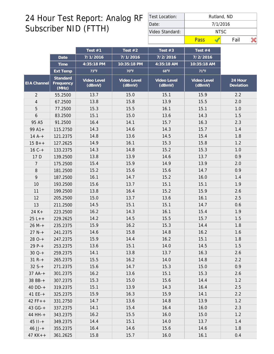| <b>Test Location:</b> | Rutland, ND |      |  |  |  |  |  |
|-----------------------|-------------|------|--|--|--|--|--|
| Date:                 | 7/1/2016    |      |  |  |  |  |  |
| Video Standard:       | NTSC.       |      |  |  |  |  |  |
|                       | Pass        | Fail |  |  |  |  |  |

|                |                                | Test $#1$             | Test $#2$             | Test $#3$             | Test #4               |                      |
|----------------|--------------------------------|-----------------------|-----------------------|-----------------------|-----------------------|----------------------|
|                | Date                           | 7/1/2016              | 7/1/2016              | 7/2/2016              | 7/2/2016              |                      |
|                | Time                           | 4:35:18 PM            | 10:35:18 PM           | 4:35:18 AM            | 10:35:18 AM           |                      |
|                | Ext Temp                       | 73°F                  | $70^{\circ}$ F        | $68^{\circ}F$         | $71^{\circ}F$         |                      |
| EIA Channel    | Standard<br>Frequency<br>(MHz) | Video Level<br>(dBmV) | Video Level<br>(dBmV) | Video Level<br>(dBmV) | Video Level<br>(dBmV) | 24 Hour<br>Deviation |
| $\overline{2}$ | 55.2500                        | 13.7                  | 15.0                  | 15.1                  | 15.9                  | 2.2                  |
| 4              | 67.2500                        | 13.8                  | 15.8                  | 13.9                  | 15.5                  | 2.0                  |
| 5              | 77.2500                        | 15.3                  | 15.5                  | 16.1                  | 15.1                  | 1.0                  |
| 6              | 83.2500                        | 15.1                  | 15.0                  | 13.6                  | 14.3                  | 1.5                  |
| 95 A5          | 91.2500                        | 16.4                  | 14.1                  | 15.7                  | 16.3                  | 2.3                  |
| $99A1+$        | 115.2750                       | 14.3                  | 14.6                  | 14.3                  | 15.7                  | 1.4                  |
| $14A^{-+}$     | 121.2375                       | 14.8                  | 13.6                  | 14.5                  | 15.4                  | 1.8                  |
| $15B++$        | 127.2625                       | 14.9                  | 16.1                  | 15.3                  | 15.8                  | 1.2                  |
| $16C +$        | 133.2375                       | 14.3                  | 14.8                  | 15.2                  | 15.3                  | 1.0                  |
| 17 D           | 139.2500                       | 13.8                  | 13.9                  | 14.6                  | 13.7                  | 0.9                  |
| 7              | 175.2500                       | 15.4                  | 15.9                  | 14.9                  | 13.9                  | 2.0                  |
| $8\,$          | 181.2500                       | 15.2                  | 15.6                  | 15.6                  | 14.7                  | 0.9                  |
| 9              | 187.2500                       | 16.1                  | 14.7                  | 15.2                  | 16.0                  | 1.4                  |
| 10             | 193.2500                       | 15.6                  | 13.7                  | 15.1                  | 15.1                  | 1.9                  |
| 11             | 199.2500                       | 13.8                  | 16.4                  | 15.2                  | 15.9                  | 2.6                  |
| 12             | 205.2500                       | 15.0                  | 13.7                  | 13.6                  | 16.1                  | 2.5                  |
| 13             | 211.2500                       | 14.5                  | 15.1                  | 15.1                  | 14.7                  | 0.6                  |
| $24 K +$       | 223.2500                       | 16.2                  | 14.3                  | 16.1                  | 15.4                  | 1.9                  |
| $25L++$        | 229.2625                       | 14.2                  | 14.5                  | 15.5                  | 15.7                  | 1.5                  |
| $26 M +$       | 235.2375                       | 15.9                  | 16.2                  | 15.3                  | 14.4                  | 1.8                  |
| $27 N +$       | 241.2375                       | 14.6                  | 15.8                  | 14.8                  | 16.2                  | 1.6                  |
| $280-+$        | 247.2375                       | 15.9                  | 14.4                  | 16.2                  | 15.1                  | 1.8                  |
| $29P-+$        | 253.2375                       | 13.6                  | 15.1                  | 14.0                  | 14.5                  | 1.5                  |
| $30Q-+$        | 259.2375                       | 14.1                  | 13.8                  | 13.7                  | 16.3                  | 2.6                  |
| $31 R +$       | 265.2375                       | 15.5                  | 16.2                  | 14.0                  | 14.8                  | 2.2                  |
| $32S+$         | 271.2375                       | 15.6                  | 14.7                  | 15.3                  | 15.0                  | 0.9                  |
| $37 AA-+$      | 301.2375                       | 16.2                  | 13.6                  | 15.1                  | 15.3                  | 2.6                  |
| 38 BB-+        | 307.2375                       | 15.3                  | 15.0                  | 15.6                  | 14.4                  | 1.2                  |
| $40$ DD-+      | 319.2375                       | 15.1                  | 13.9                  | 14.3                  | 16.4                  | 2.5                  |
| $41$ EE-+      | 325.2375                       | 15.9                  | 16.3                  | 15.9                  | 14.1                  | 2.2                  |
| $42 FF++$      | 331.2750                       | 14.7                  | 13.6                  | 14.8                  | 13.9                  | 1.2                  |
| 43 GG-+        | 337.2375                       | 14.1                  | 15.4                  | 16.4                  | 16.0                  | 2.3                  |
| 44 HH-+        | 343.2375                       | 16.2                  | 15.5                  | 16.0                  | 15.0                  | 1.2                  |
| $45$ $11 - +$  | 349.2375                       | 14.4                  | 15.1                  | 14.0                  | 13.7                  | 1.4                  |
| $46$ JJ-+      | 355.2375                       | 16.4                  | 14.6                  | 15.6                  | 14.6                  | 1.8                  |
| $47$ KK + +    | 361.2625                       | 15.8                  | 15.7                  | 16.0                  | 16.1                  | 0.4                  |